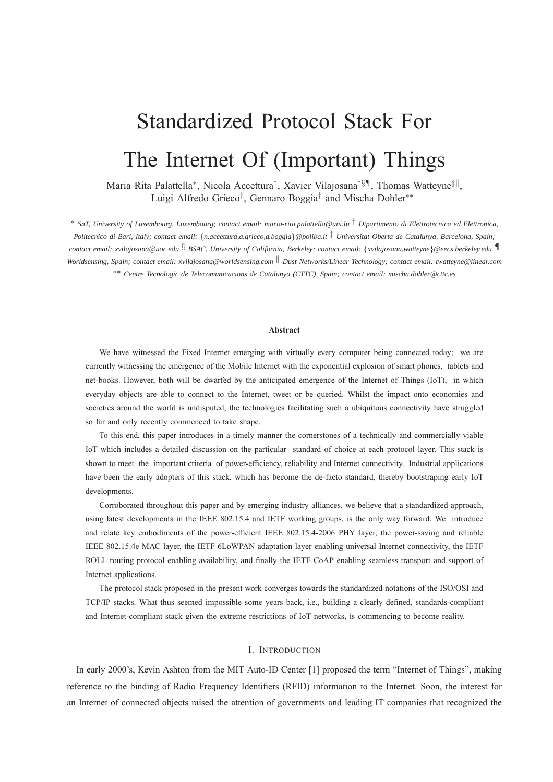# Standardized Protocol Stack For The Internet Of (Important) Things

Maria Rita Palattella<sup>∗</sup>, Nicola Accettura<sup>†</sup>, Xavier Vilajosana<sup>‡§¶</sup>, Thomas Watteyne<sup>§||</sup>, Luigi Alfredo Grieco†, Gennaro Boggia† and Mischa Dohler∗∗

∗ *SnT, University of Luxembourg, Luxembourg; contact email: maria-rita.palattella@uni.lu* † *Dipartimento di Elettrotecnica ed Elettronica, Politecnico di Bari, Italy; contact email:* {*n.accettura,a.grieco,g.boggia*}*@poliba.it* ‡ *Universitat Oberta de Catalunya, Barcelona, Spain; contact email: xvilajosana@uoc.edu* § *BSAC, University of California, Berkeley; contact email:* {*xvilajosana,watteyne*}*@eecs.berkeley.edu* ¶ *Worldsensing, Spain; contact email: xvilajosana@worldsensing.com Dust Networks/Linear Technology; contact email: twatteyne@linear.com* ∗∗ *Centre Tecnologic de Telecomunicacions de Catalunya (CTTC), Spain; contact email: mischa.dohler@cttc.es*

#### **Abstract**

We have witnessed the Fixed Internet emerging with virtually every computer being connected today; we are currently witnessing the emergence of the Mobile Internet with the exponential explosion of smart phones, tablets and net-books. However, both will be dwarfed by the anticipated emergence of the Internet of Things (IoT), in which everyday objects are able to connect to the Internet, tweet or be queried. Whilst the impact onto economies and societies around the world is undisputed, the technologies facilitating such a ubiquitous connectivity have struggled so far and only recently commenced to take shape.

To this end, this paper introduces in a timely manner the cornerstones of a technically and commercially viable IoT which includes a detailed discussion on the particular standard of choice at each protocol layer. This stack is shown to meet the important criteria of power-efficiency, reliability and Internet connectivity. Industrial applications have been the early adopters of this stack, which has become the de-facto standard, thereby bootstraping early IoT developments.

Corroborated throughout this paper and by emerging industry alliances, we believe that a standardized approach, using latest developments in the IEEE 802.15.4 and IETF working groups, is the only way forward. We introduce and relate key embodiments of the power-efficient IEEE 802.15.4-2006 PHY layer, the power-saving and reliable IEEE 802.15.4e MAC layer, the IETF 6LoWPAN adaptation layer enabling universal Internet connectivity, the IETF ROLL routing protocol enabling availability, and finally the IETF CoAP enabling seamless transport and support of Internet applications.

The protocol stack proposed in the present work converges towards the standardized notations of the ISO/OSI and TCP/IP stacks. What thus seemed impossible some years back, i.e., building a clearly defined, standards-compliant and Internet-compliant stack given the extreme restrictions of IoT networks, is commencing to become reality.

## I. INTRODUCTION

In early 2000's, Kevin Ashton from the MIT Auto-ID Center [1] proposed the term "Internet of Things", making reference to the binding of Radio Frequency Identifiers (RFID) information to the Internet. Soon, the interest for an Internet of connected objects raised the attention of governments and leading IT companies that recognized the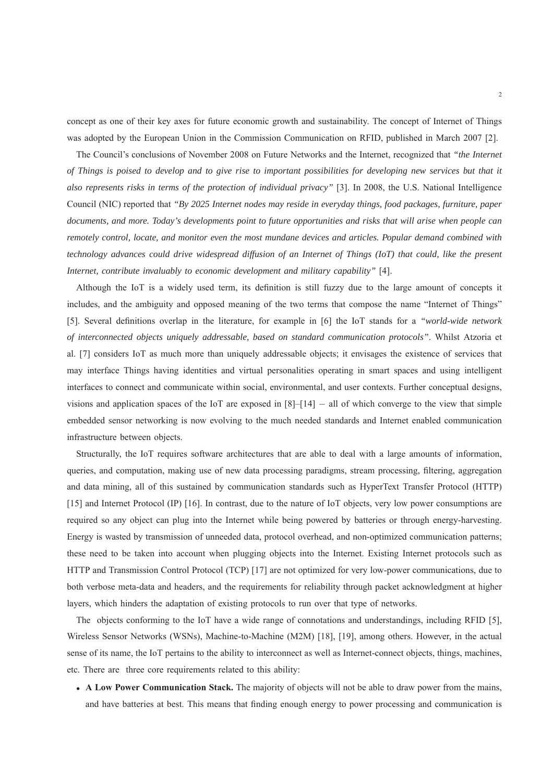concept as one of their key axes for future economic growth and sustainability. The concept of Internet of Things was adopted by the European Union in the Commission Communication on RFID, published in March 2007 [2].

The Council's conclusions of November 2008 on Future Networks and the Internet, recognized that *"the Internet of Things is poised to develop and to give rise to important possibilities for developing new services but that it also represents risks in terms of the protection of individual privacy"* [3]. In 2008, the U.S. National Intelligence Council (NIC) reported that *"By 2025 Internet nodes may reside in everyday things, food packages, furniture, paper documents, and more. Today's developments point to future opportunities and risks that will arise when people can remotely control, locate, and monitor even the most mundane devices and articles. Popular demand combined with technology advances could drive widespread diffusion of an Internet of Things (IoT) that could, like the present Internet, contribute invaluably to economic development and military capability"* [4].

Although the IoT is a widely used term, its definition is still fuzzy due to the large amount of concepts it includes, and the ambiguity and opposed meaning of the two terms that compose the name "Internet of Things" [5]. Several definitions overlap in the literature, for example in [6] the IoT stands for a *"world-wide network of interconnected objects uniquely addressable, based on standard communication protocols"*. Whilst Atzoria et al. [7] considers IoT as much more than uniquely addressable objects; it envisages the existence of services that may interface Things having identities and virtual personalities operating in smart spaces and using intelligent interfaces to connect and communicate within social, environmental, and user contexts. Further conceptual designs, visions and application spaces of the IoT are exposed in  $[8]-[14]$  – all of which converge to the view that simple embedded sensor networking is now evolving to the much needed standards and Internet enabled communication infrastructure between objects.

Structurally, the IoT requires software architectures that are able to deal with a large amounts of information, queries, and computation, making use of new data processing paradigms, stream processing, filtering, aggregation and data mining, all of this sustained by communication standards such as HyperText Transfer Protocol (HTTP) [15] and Internet Protocol (IP) [16]. In contrast, due to the nature of IoT objects, very low power consumptions are required so any object can plug into the Internet while being powered by batteries or through energy-harvesting. Energy is wasted by transmission of unneeded data, protocol overhead, and non-optimized communication patterns; these need to be taken into account when plugging objects into the Internet. Existing Internet protocols such as HTTP and Transmission Control Protocol (TCP) [17] are not optimized for very low-power communications, due to both verbose meta-data and headers, and the requirements for reliability through packet acknowledgment at higher layers, which hinders the adaptation of existing protocols to run over that type of networks.

The objects conforming to the IoT have a wide range of connotations and understandings, including RFID [5], Wireless Sensor Networks (WSNs), Machine-to-Machine (M2M) [18], [19], among others. However, in the actual sense of its name, the IoT pertains to the ability to interconnect as well as Internet-connect objects, things, machines, etc. There are three core requirements related to this ability:

• **A Low Power Communication Stack.** The majority of objects will not be able to draw power from the mains, and have batteries at best. This means that finding enough energy to power processing and communication is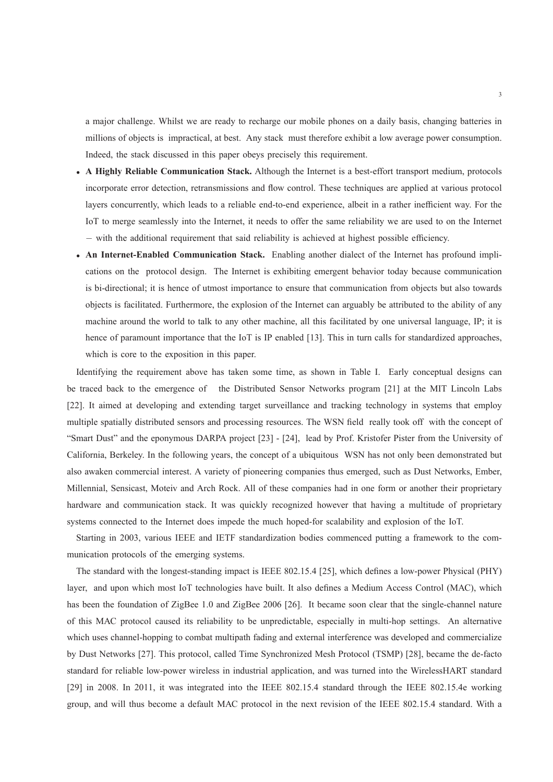a major challenge. Whilst we are ready to recharge our mobile phones on a daily basis, changing batteries in millions of objects is impractical, at best. Any stack must therefore exhibit a low average power consumption. Indeed, the stack discussed in this paper obeys precisely this requirement.

- **A Highly Reliable Communication Stack.** Although the Internet is a best-effort transport medium, protocols incorporate error detection, retransmissions and flow control. These techniques are applied at various protocol layers concurrently, which leads to a reliable end-to-end experience, albeit in a rather inefficient way. For the IoT to merge seamlessly into the Internet, it needs to offer the same reliability we are used to on the Internet − with the additional requirement that said reliability is achieved at highest possible efficiency.
- **An Internet-Enabled Communication Stack.** Enabling another dialect of the Internet has profound implications on the protocol design. The Internet is exhibiting emergent behavior today because communication is bi-directional; it is hence of utmost importance to ensure that communication from objects but also towards objects is facilitated. Furthermore, the explosion of the Internet can arguably be attributed to the ability of any machine around the world to talk to any other machine, all this facilitated by one universal language, IP; it is hence of paramount importance that the IoT is IP enabled [13]. This in turn calls for standardized approaches, which is core to the exposition in this paper.

Identifying the requirement above has taken some time, as shown in Table I. Early conceptual designs can be traced back to the emergence of the Distributed Sensor Networks program [21] at the MIT Lincoln Labs [22]. It aimed at developing and extending target surveillance and tracking technology in systems that employ multiple spatially distributed sensors and processing resources. The WSN field really took off with the concept of "Smart Dust" and the eponymous DARPA project [23] - [24], lead by Prof. Kristofer Pister from the University of California, Berkeley. In the following years, the concept of a ubiquitous WSN has not only been demonstrated but also awaken commercial interest. A variety of pioneering companies thus emerged, such as Dust Networks, Ember, Millennial, Sensicast, Moteiv and Arch Rock. All of these companies had in one form or another their proprietary hardware and communication stack. It was quickly recognized however that having a multitude of proprietary systems connected to the Internet does impede the much hoped-for scalability and explosion of the IoT.

Starting in 2003, various IEEE and IETF standardization bodies commenced putting a framework to the communication protocols of the emerging systems.

The standard with the longest-standing impact is IEEE 802.15.4 [25], which defines a low-power Physical (PHY) layer, and upon which most IoT technologies have built. It also defines a Medium Access Control (MAC), which has been the foundation of ZigBee 1.0 and ZigBee 2006 [26]. It became soon clear that the single-channel nature of this MAC protocol caused its reliability to be unpredictable, especially in multi-hop settings. An alternative which uses channel-hopping to combat multipath fading and external interference was developed and commercialize by Dust Networks [27]. This protocol, called Time Synchronized Mesh Protocol (TSMP) [28], became the de-facto standard for reliable low-power wireless in industrial application, and was turned into the WirelessHART standard [29] in 2008. In 2011, it was integrated into the IEEE 802.15.4 standard through the IEEE 802.15.4e working group, and will thus become a default MAC protocol in the next revision of the IEEE 802.15.4 standard. With a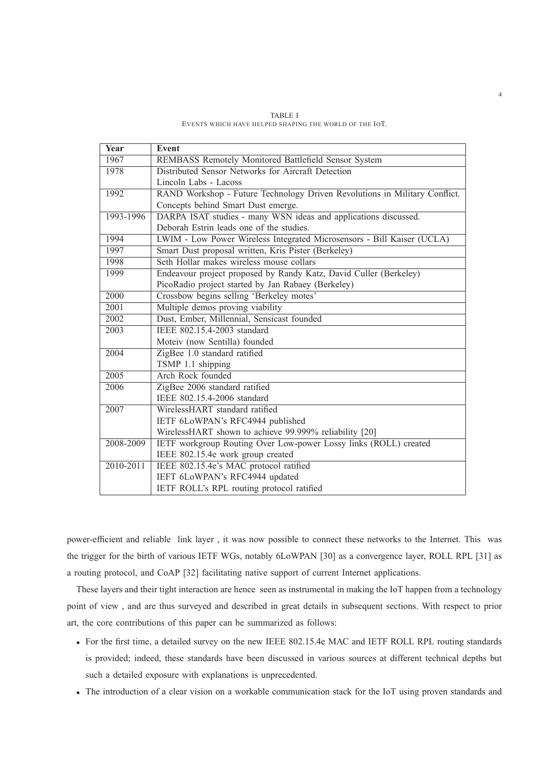TABLE I EVENTS WHICH HAVE HELPED SHAPING THE WORLD OF THE IOT.

| Year              | Event                                                                      |  |  |  |  |  |
|-------------------|----------------------------------------------------------------------------|--|--|--|--|--|
| 1967              | REMBASS Remotely Monitored Battlefield Sensor System                       |  |  |  |  |  |
| 1978              | Distributed Sensor Networks for Aircraft Detection                         |  |  |  |  |  |
|                   | Lincoln Labs - Lacoss                                                      |  |  |  |  |  |
| 1992              | RAND Workshop - Future Technology Driven Revolutions in Military Conflict. |  |  |  |  |  |
|                   | Concepts behind Smart Dust emerge.                                         |  |  |  |  |  |
| 1993-1996         | DARPA ISAT studies - many WSN ideas and applications discussed.            |  |  |  |  |  |
|                   | Deborah Estrin leads one of the studies.                                   |  |  |  |  |  |
| 1994              | LWIM - Low Power Wireless Integrated Microsensors - Bill Kaiser (UCLA)     |  |  |  |  |  |
| 1997              | Smart Dust proposal written, Kris Pister (Berkeley)                        |  |  |  |  |  |
| 1998              | Seth Hollar makes wireless mouse collars                                   |  |  |  |  |  |
| 1999              | Endeavour project proposed by Randy Katz, David Culler (Berkeley)          |  |  |  |  |  |
|                   | PicoRadio project started by Jan Rabaey (Berkeley)                         |  |  |  |  |  |
| 2000              | Crossbow begins selling 'Berkeley motes'                                   |  |  |  |  |  |
| 2001              | Multiple demos proving viability                                           |  |  |  |  |  |
| 2002              | Dust, Ember, Millennial, Sensicast founded                                 |  |  |  |  |  |
| 2003              | IEEE 802.15.4-2003 standard                                                |  |  |  |  |  |
|                   | Moteiv (now Sentilla) founded                                              |  |  |  |  |  |
| 2004              | ZigBee 1.0 standard ratified                                               |  |  |  |  |  |
|                   | TSMP 1.1 shipping                                                          |  |  |  |  |  |
| $\overline{2005}$ | <b>Arch Rock founded</b>                                                   |  |  |  |  |  |
| 2006              | ZigBee 2006 standard ratified                                              |  |  |  |  |  |
|                   | IEEE 802.15.4-2006 standard                                                |  |  |  |  |  |
| 2007              | WirelessHART standard ratified                                             |  |  |  |  |  |
|                   | IETF 6LoWPAN's RFC4944 published                                           |  |  |  |  |  |
|                   | WirelessHART shown to achieve 99.999% reliability [20]                     |  |  |  |  |  |
| 2008-2009         | IETF workgroup Routing Over Low-power Lossy links (ROLL) created           |  |  |  |  |  |
|                   | IEEE 802.15.4e work group created                                          |  |  |  |  |  |
| 2010-2011         | IEEE 802.15.4e's MAC protocol ratified                                     |  |  |  |  |  |
|                   | IEFT 6LoWPAN's RFC4944 updated                                             |  |  |  |  |  |
|                   | IETF ROLL's RPL routing protocol ratified                                  |  |  |  |  |  |

power-efficient and reliable link layer , it was now possible to connect these networks to the Internet. This was the trigger for the birth of various IETF WGs, notably 6LoWPAN [30] as a convergence layer, ROLL RPL [31] as a routing protocol, and CoAP [32] facilitating native support of current Internet applications.

These layers and their tight interaction are hence seen as instrumental in making the IoT happen from a technology point of view , and are thus surveyed and described in great details in subsequent sections. With respect to prior art, the core contributions of this paper can be summarized as follows:

- For the first time, a detailed survey on the new IEEE 802.15.4e MAC and IETF ROLL RPL routing standards is provided; indeed, these standards have been discussed in various sources at different technical depths but such a detailed exposure with explanations is unprecedented.
- The introduction of a clear vision on a workable communication stack for the IoT using proven standards and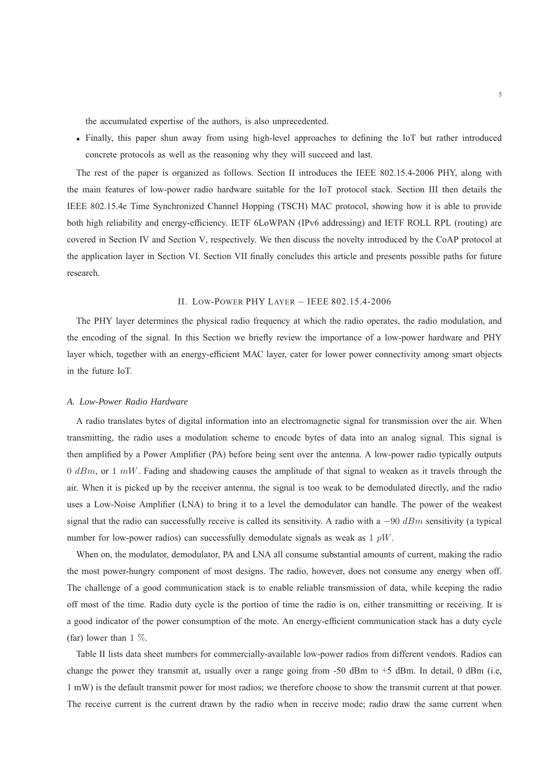the accumulated expertise of the authors, is also unprecedented.

• Finally, this paper shun away from using high-level approaches to defining the IoT but rather introduced concrete protocols as well as the reasoning why they will succeed and last.

The rest of the paper is organized as follows. Section II introduces the IEEE 802.15.4-2006 PHY, along with the main features of low-power radio hardware suitable for the IoT protocol stack. Section III then details the IEEE 802.15.4e Time Synchronized Channel Hopping (TSCH) MAC protocol, showing how it is able to provide both high reliability and energy-efficiency. IETF 6LoWPAN (IPv6 addressing) and IETF ROLL RPL (routing) are covered in Section IV and Section V, respectively. We then discuss the novelty introduced by the CoAP protocol at the application layer in Section VI. Section VII finally concludes this article and presents possible paths for future research.

# II. LOW-POWER PHY LAYER − IEEE 802.15.4-2006

The PHY layer determines the physical radio frequency at which the radio operates, the radio modulation, and the encoding of the signal. In this Section we briefly review the importance of a low-power hardware and PHY layer which, together with an energy-efficient MAC layer, cater for lower power connectivity among smart objects in the future IoT.

## *A. Low-Power Radio Hardware*

A radio translates bytes of digital information into an electromagnetic signal for transmission over the air. When transmitting, the radio uses a modulation scheme to encode bytes of data into an analog signal. This signal is then amplified by a Power Amplifier (PA) before being sent over the antenna. A low-power radio typically outputs  $0$  dBm, or 1 mW. Fading and shadowing causes the amplitude of that signal to weaken as it travels through the air. When it is picked up by the receiver antenna, the signal is too weak to be demodulated directly, and the radio uses a Low-Noise Amplifier (LNA) to bring it to a level the demodulator can handle. The power of the weakest signal that the radio can successfully receive is called its sensitivity. A radio with a  $-90$  dBm sensitivity (a typical number for low-power radios) can successfully demodulate signals as weak as  $1 pW$ .

When on, the modulator, demodulator, PA and LNA all consume substantial amounts of current, making the radio the most power-hungry component of most designs. The radio, however, does not consume any energy when off. The challenge of a good communication stack is to enable reliable transmission of data, while keeping the radio off most of the time. Radio duty cycle is the portion of time the radio is on, either transmitting or receiving. It is a good indicator of the power consumption of the mote. An energy-efficient communication stack has a duty cycle (far) lower than  $1\%$ .

Table II lists data sheet numbers for commercially-available low-power radios from different vendors. Radios can change the power they transmit at, usually over a range going from -50 dBm to +5 dBm. In detail, 0 dBm (i.e, 1 mW) is the default transmit power for most radios; we therefore choose to show the transmit current at that power. The receive current is the current drawn by the radio when in receive mode; radio draw the same current when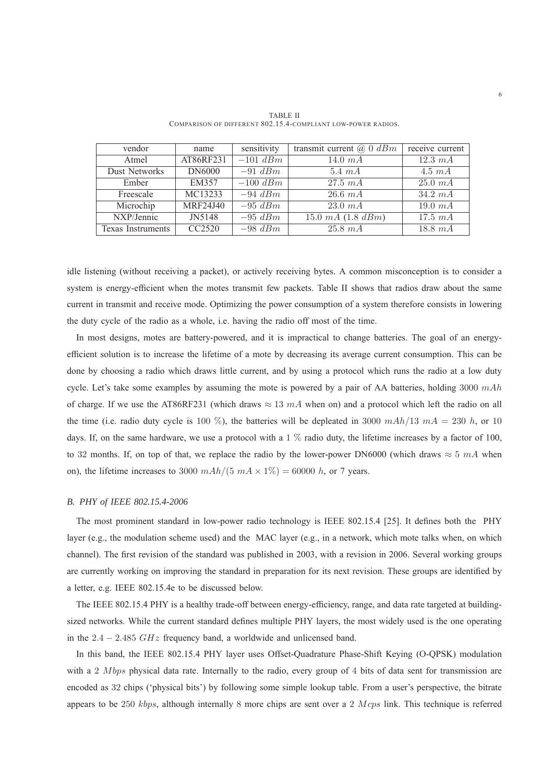| vendor               | name            | sensitivity  | transmit current $(a)$ 0 $dBm$ | receive current      |
|----------------------|-----------------|--------------|--------------------------------|----------------------|
| Atmel                | AT86RF231       | $-101$ $dBm$ | 14.0 $mA$                      | $12.3 \; mA$         |
| <b>Dust Networks</b> | <b>DN6000</b>   | $-91$ dBm    | $5.4 \; mA$                    | $4.5 \; mA$          |
| Ember                | EM357           | $-100$ dBm   | $27.5 \; mA$                   | $25.0 \; mA$         |
| Freescale            | MC13233         | $-94$ dBm    | $26.6 \; mA$                   | $34.2 \; mA$         |
| Microchip            | <b>MRF24J40</b> | $-95$ $dBm$  | $23.0 \; mA$                   | $19.0 \overline{mA}$ |
| NXP/Jennic           | JN5148          | $-95$ dBm    | 15.0 $mA(1.8~dBm)$             | $17.5$ $mA$          |
| Texas Instruments    | CC2520          | $-98$ dBm    | $25.8 \; mA$                   | $18.8 \; mA$         |

TABLE II COMPARISON OF DIFFERENT 802.15.4-COMPLIANT LOW-POWER RADIOS.

idle listening (without receiving a packet), or actively receiving bytes. A common misconception is to consider a system is energy-efficient when the motes transmit few packets. Table II shows that radios draw about the same current in transmit and receive mode. Optimizing the power consumption of a system therefore consists in lowering the duty cycle of the radio as a whole, i.e. having the radio off most of the time.

In most designs, motes are battery-powered, and it is impractical to change batteries. The goal of an energyefficient solution is to increase the lifetime of a mote by decreasing its average current consumption. This can be done by choosing a radio which draws little current, and by using a protocol which runs the radio at a low duty cycle. Let's take some examples by assuming the mote is powered by a pair of AA batteries, holding 3000  $mAh$ of charge. If we use the AT86RF231 (which draws  $\approx 13$  mA when on) and a protocol which left the radio on all the time (i.e. radio duty cycle is 100 %), the batteries will be depleated in 3000  $mAh/13$   $mA = 230$  h, or 10 days. If, on the same hardware, we use a protocol with a  $1\%$  radio duty, the lifetime increases by a factor of 100, to 32 months. If, on top of that, we replace the radio by the lower-power DN6000 (which draws  $\approx 5$  mA when on), the lifetime increases to 3000  $mAh/(5 mA \times 1\%) = 60000 h$ , or 7 years.

## *B. PHY of IEEE 802.15.4-2006*

The most prominent standard in low-power radio technology is IEEE 802.15.4 [25]. It defines both the PHY layer (e.g., the modulation scheme used) and the MAC layer (e.g., in a network, which mote talks when, on which channel). The first revision of the standard was published in 2003, with a revision in 2006. Several working groups are currently working on improving the standard in preparation for its next revision. These groups are identified by a letter, e.g. IEEE 802.15.4e to be discussed below.

The IEEE 802.15.4 PHY is a healthy trade-off between energy-efficiency, range, and data rate targeted at buildingsized networks. While the current standard defines multiple PHY layers, the most widely used is the one operating in the 2.4 − 2.485 GHz frequency band, a worldwide and unlicensed band.

In this band, the IEEE 802.15.4 PHY layer uses Offset-Quadrature Phase-Shift Keying (O-QPSK) modulation with a 2 M bps physical data rate. Internally to the radio, every group of 4 bits of data sent for transmission are encoded as 32 chips ('physical bits') by following some simple lookup table. From a user's perspective, the bitrate appears to be 250 kbps, although internally 8 more chips are sent over a 2  $Mcps$  link. This technique is referred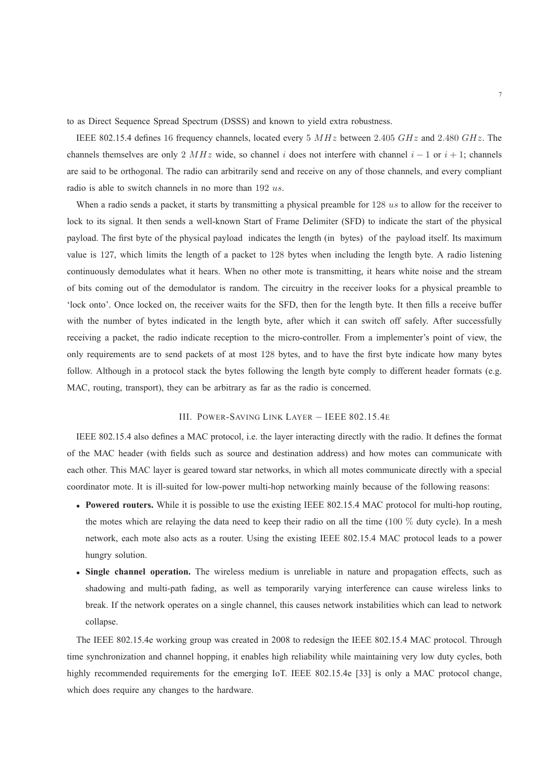to as Direct Sequence Spread Spectrum (DSSS) and known to yield extra robustness.

IEEE 802.15.4 defines 16 frequency channels, located every 5  $MHz$  between 2.405  $GHz$  and 2.480  $GHz$ . The channels themselves are only 2 MHz wide, so channel i does not interfere with channel  $i - 1$  or  $i + 1$ ; channels are said to be orthogonal. The radio can arbitrarily send and receive on any of those channels, and every compliant radio is able to switch channels in no more than 192 us.

When a radio sends a packet, it starts by transmitting a physical preamble for 128 us to allow for the receiver to lock to its signal. It then sends a well-known Start of Frame Delimiter (SFD) to indicate the start of the physical payload. The first byte of the physical payload indicates the length (in bytes) of the payload itself. Its maximum value is 127, which limits the length of a packet to 128 bytes when including the length byte. A radio listening continuously demodulates what it hears. When no other mote is transmitting, it hears white noise and the stream of bits coming out of the demodulator is random. The circuitry in the receiver looks for a physical preamble to 'lock onto'. Once locked on, the receiver waits for the SFD, then for the length byte. It then fills a receive buffer with the number of bytes indicated in the length byte, after which it can switch off safely. After successfully receiving a packet, the radio indicate reception to the micro-controller. From a implementer's point of view, the only requirements are to send packets of at most 128 bytes, and to have the first byte indicate how many bytes follow. Although in a protocol stack the bytes following the length byte comply to different header formats (e.g. MAC, routing, transport), they can be arbitrary as far as the radio is concerned.

## III. POWER-SAVING LINK LAYER − IEEE 802.15.4E

IEEE 802.15.4 also defines a MAC protocol, i.e. the layer interacting directly with the radio. It defines the format of the MAC header (with fields such as source and destination address) and how motes can communicate with each other. This MAC layer is geared toward star networks, in which all motes communicate directly with a special coordinator mote. It is ill-suited for low-power multi-hop networking mainly because of the following reasons:

- **Powered routers.** While it is possible to use the existing IEEE 802.15.4 MAC protocol for multi-hop routing, the motes which are relaying the data need to keep their radio on all the time (100 % duty cycle). In a mesh network, each mote also acts as a router. Using the existing IEEE 802.15.4 MAC protocol leads to a power hungry solution.
- **Single channel operation.** The wireless medium is unreliable in nature and propagation effects, such as shadowing and multi-path fading, as well as temporarily varying interference can cause wireless links to break. If the network operates on a single channel, this causes network instabilities which can lead to network collapse.

The IEEE 802.15.4e working group was created in 2008 to redesign the IEEE 802.15.4 MAC protocol. Through time synchronization and channel hopping, it enables high reliability while maintaining very low duty cycles, both highly recommended requirements for the emerging IoT. IEEE 802.15.4e [33] is only a MAC protocol change, which does require any changes to the hardware.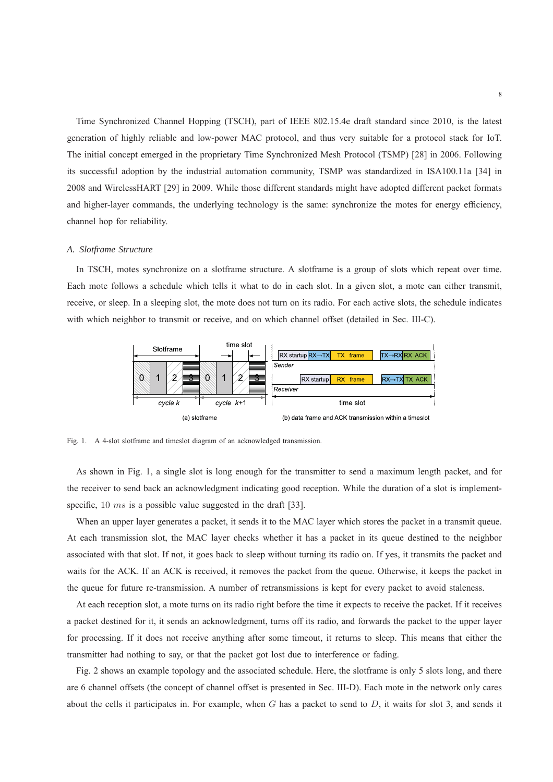Time Synchronized Channel Hopping (TSCH), part of IEEE 802.15.4e draft standard since 2010, is the latest generation of highly reliable and low-power MAC protocol, and thus very suitable for a protocol stack for IoT. The initial concept emerged in the proprietary Time Synchronized Mesh Protocol (TSMP) [28] in 2006. Following its successful adoption by the industrial automation community, TSMP was standardized in ISA100.11a [34] in 2008 and WirelessHART [29] in 2009. While those different standards might have adopted different packet formats and higher-layer commands, the underlying technology is the same: synchronize the motes for energy efficiency, channel hop for reliability.

## *A. Slotframe Structure*

In TSCH, motes synchronize on a slotframe structure. A slotframe is a group of slots which repeat over time. Each mote follows a schedule which tells it what to do in each slot. In a given slot, a mote can either transmit, receive, or sleep. In a sleeping slot, the mote does not turn on its radio. For each active slots, the schedule indicates with which neighbor to transmit or receive, and on which channel offset (detailed in Sec. III-C).



Fig. 1. A 4-slot slotframe and timeslot diagram of an acknowledged transmission.

As shown in Fig. 1, a single slot is long enough for the transmitter to send a maximum length packet, and for the receiver to send back an acknowledgment indicating good reception. While the duration of a slot is implementspecific, 10 ms is a possible value suggested in the draft [33].

When an upper layer generates a packet, it sends it to the MAC layer which stores the packet in a transmit queue. At each transmission slot, the MAC layer checks whether it has a packet in its queue destined to the neighbor associated with that slot. If not, it goes back to sleep without turning its radio on. If yes, it transmits the packet and waits for the ACK. If an ACK is received, it removes the packet from the queue. Otherwise, it keeps the packet in the queue for future re-transmission. A number of retransmissions is kept for every packet to avoid staleness.

At each reception slot, a mote turns on its radio right before the time it expects to receive the packet. If it receives a packet destined for it, it sends an acknowledgment, turns off its radio, and forwards the packet to the upper layer for processing. If it does not receive anything after some timeout, it returns to sleep. This means that either the transmitter had nothing to say, or that the packet got lost due to interference or fading.

Fig. 2 shows an example topology and the associated schedule. Here, the slotframe is only 5 slots long, and there are 6 channel offsets (the concept of channel offset is presented in Sec. III-D). Each mote in the network only cares about the cells it participates in. For example, when  $G$  has a packet to send to  $D$ , it waits for slot 3, and sends it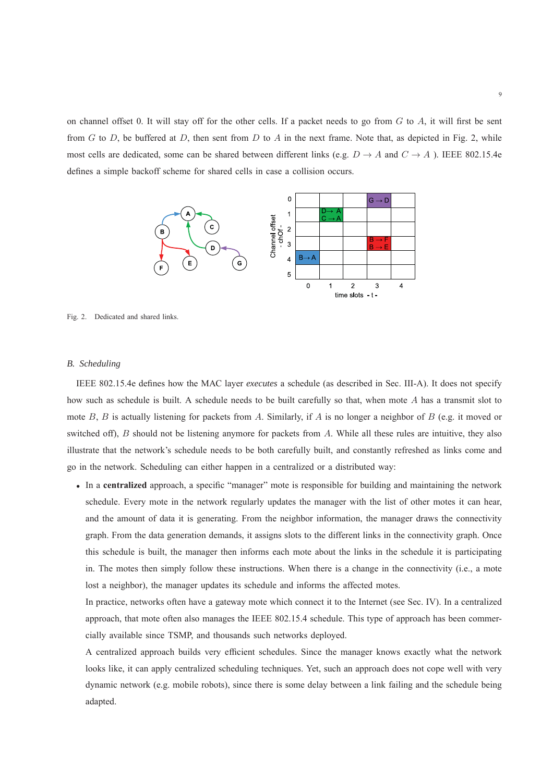on channel offset 0. It will stay off for the other cells. If a packet needs to go from  $G$  to  $A$ , it will first be sent from  $G$  to  $D$ , be buffered at  $D$ , then sent from  $D$  to  $A$  in the next frame. Note that, as depicted in Fig. 2, while most cells are dedicated, some can be shared between different links (e.g.  $D \rightarrow A$  and  $C \rightarrow A$ ). IEEE 802.15.4e defines a simple backoff scheme for shared cells in case a collision occurs.



Fig. 2. Dedicated and shared links.

## *B. Scheduling*

IEEE 802.15.4e defines how the MAC layer *executes* a schedule (as described in Sec. III-A). It does not specify how such as schedule is built. A schedule needs to be built carefully so that, when mote A has a transmit slot to mote  $B$ ,  $B$  is actually listening for packets from  $A$ . Similarly, if  $A$  is no longer a neighbor of  $B$  (e.g. it moved or switched off), B should not be listening anymore for packets from A. While all these rules are intuitive, they also illustrate that the network's schedule needs to be both carefully built, and constantly refreshed as links come and go in the network. Scheduling can either happen in a centralized or a distributed way:

• In a **centralized** approach, a specific "manager" mote is responsible for building and maintaining the network schedule. Every mote in the network regularly updates the manager with the list of other motes it can hear, and the amount of data it is generating. From the neighbor information, the manager draws the connectivity graph. From the data generation demands, it assigns slots to the different links in the connectivity graph. Once this schedule is built, the manager then informs each mote about the links in the schedule it is participating in. The motes then simply follow these instructions. When there is a change in the connectivity (i.e., a mote lost a neighbor), the manager updates its schedule and informs the affected motes.

In practice, networks often have a gateway mote which connect it to the Internet (see Sec. IV). In a centralized approach, that mote often also manages the IEEE 802.15.4 schedule. This type of approach has been commercially available since TSMP, and thousands such networks deployed.

A centralized approach builds very efficient schedules. Since the manager knows exactly what the network looks like, it can apply centralized scheduling techniques. Yet, such an approach does not cope well with very dynamic network (e.g. mobile robots), since there is some delay between a link failing and the schedule being adapted.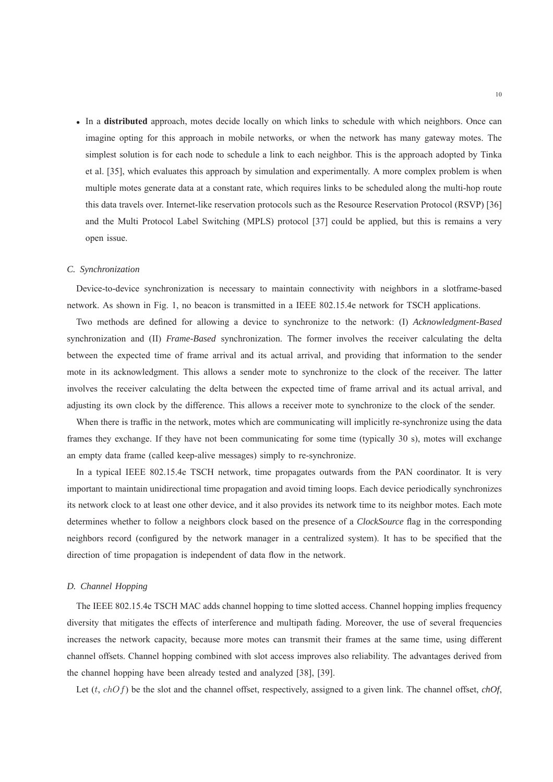• In a **distributed** approach, motes decide locally on which links to schedule with which neighbors. Once can imagine opting for this approach in mobile networks, or when the network has many gateway motes. The simplest solution is for each node to schedule a link to each neighbor. This is the approach adopted by Tinka et al. [35], which evaluates this approach by simulation and experimentally. A more complex problem is when multiple motes generate data at a constant rate, which requires links to be scheduled along the multi-hop route this data travels over. Internet-like reservation protocols such as the Resource Reservation Protocol (RSVP) [36] and the Multi Protocol Label Switching (MPLS) protocol [37] could be applied, but this is remains a very open issue.

#### *C. Synchronization*

Device-to-device synchronization is necessary to maintain connectivity with neighbors in a slotframe-based network. As shown in Fig. 1, no beacon is transmitted in a IEEE 802.15.4e network for TSCH applications.

Two methods are defined for allowing a device to synchronize to the network: (I) *Acknowledgment-Based* synchronization and (II) *Frame-Based* synchronization. The former involves the receiver calculating the delta between the expected time of frame arrival and its actual arrival, and providing that information to the sender mote in its acknowledgment. This allows a sender mote to synchronize to the clock of the receiver. The latter involves the receiver calculating the delta between the expected time of frame arrival and its actual arrival, and adjusting its own clock by the difference. This allows a receiver mote to synchronize to the clock of the sender.

When there is traffic in the network, motes which are communicating will implicitly re-synchronize using the data frames they exchange. If they have not been communicating for some time (typically 30 s), motes will exchange an empty data frame (called keep-alive messages) simply to re-synchronize.

In a typical IEEE 802.15.4e TSCH network, time propagates outwards from the PAN coordinator. It is very important to maintain unidirectional time propagation and avoid timing loops. Each device periodically synchronizes its network clock to at least one other device, and it also provides its network time to its neighbor motes. Each mote determines whether to follow a neighbors clock based on the presence of a *ClockSource* flag in the corresponding neighbors record (configured by the network manager in a centralized system). It has to be specified that the direction of time propagation is independent of data flow in the network.

## *D. Channel Hopping*

The IEEE 802.15.4e TSCH MAC adds channel hopping to time slotted access. Channel hopping implies frequency diversity that mitigates the effects of interference and multipath fading. Moreover, the use of several frequencies increases the network capacity, because more motes can transmit their frames at the same time, using different channel offsets. Channel hopping combined with slot access improves also reliability. The advantages derived from the channel hopping have been already tested and analyzed [38], [39].

Let  $(t, chOf)$  be the slot and the channel offset, respectively, assigned to a given link. The channel offset, *chOf*,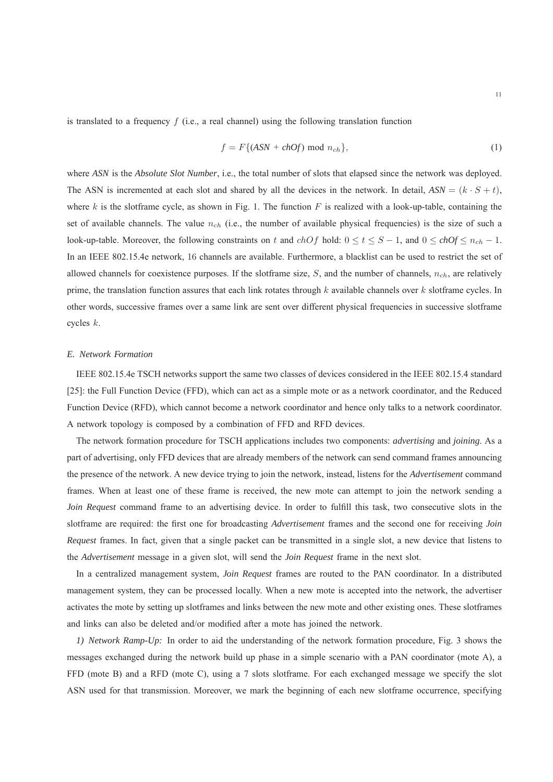is translated to a frequency  $f$  (i.e., a real channel) using the following translation function

$$
f = F\{(ASN + chOf) \text{ mod } n_{ch}\},\tag{1}
$$

where *ASN* is the *Absolute Slot Number*, i.e., the total number of slots that elapsed since the network was deployed. The ASN is incremented at each slot and shared by all the devices in the network. In detail,  $ASN = (k \cdot S + t)$ , where k is the slotframe cycle, as shown in Fig. 1. The function  $F$  is realized with a look-up-table, containing the set of available channels. The value  $n_{ch}$  (i.e., the number of available physical frequencies) is the size of such a look-up-table. Moreover, the following constraints on t and  $chOf$  hold:  $0 \le t \le S - 1$ , and  $0 \le chOf \le n_{ch} - 1$ . In an IEEE 802.15.4e network, 16 channels are available. Furthermore, a blacklist can be used to restrict the set of allowed channels for coexistence purposes. If the slotframe size,  $S$ , and the number of channels,  $n_{ch}$ , are relatively prime, the translation function assures that each link rotates through  $k$  available channels over  $k$  slotframe cycles. In other words, successive frames over a same link are sent over different physical frequencies in successive slotframe cycles k.

### *E. Network Formation*

IEEE 802.15.4e TSCH networks support the same two classes of devices considered in the IEEE 802.15.4 standard [25]: the Full Function Device (FFD), which can act as a simple mote or as a network coordinator, and the Reduced Function Device (RFD), which cannot become a network coordinator and hence only talks to a network coordinator. A network topology is composed by a combination of FFD and RFD devices.

The network formation procedure for TSCH applications includes two components: *advertising* and *joining*. As a part of advertising, only FFD devices that are already members of the network can send command frames announcing the presence of the network. A new device trying to join the network, instead, listens for the *Advertisement* command frames. When at least one of these frame is received, the new mote can attempt to join the network sending a *Join Request* command frame to an advertising device. In order to fulfill this task, two consecutive slots in the slotframe are required: the first one for broadcasting *Advertisement* frames and the second one for receiving *Join Request* frames. In fact, given that a single packet can be transmitted in a single slot, a new device that listens to the *Advertisement* message in a given slot, will send the *Join Request* frame in the next slot.

In a centralized management system, *Join Request* frames are routed to the PAN coordinator. In a distributed management system, they can be processed locally. When a new mote is accepted into the network, the advertiser activates the mote by setting up slotframes and links between the new mote and other existing ones. These slotframes and links can also be deleted and/or modified after a mote has joined the network.

*1) Network Ramp-Up:* In order to aid the understanding of the network formation procedure, Fig. 3 shows the messages exchanged during the network build up phase in a simple scenario with a PAN coordinator (mote A), a FFD (mote B) and a RFD (mote C), using a 7 slots slotframe. For each exchanged message we specify the slot ASN used for that transmission. Moreover, we mark the beginning of each new slotframe occurrence, specifying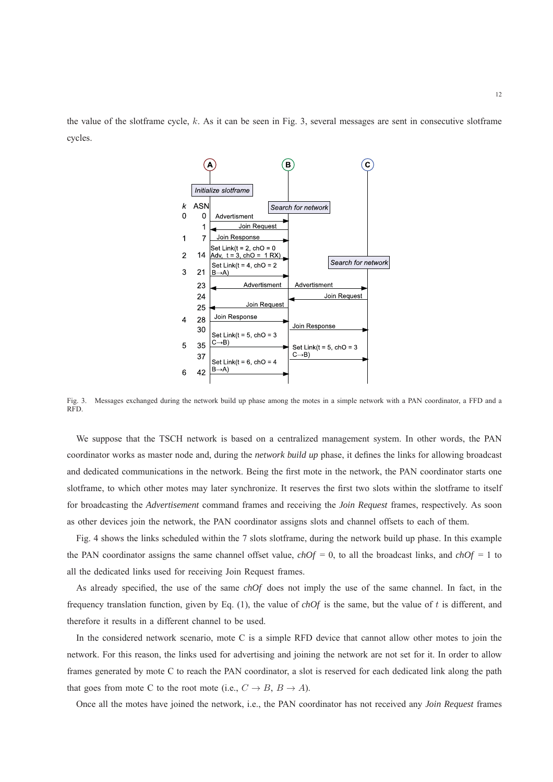the value of the slotframe cycle,  $k$ . As it can be seen in Fig. 3, several messages are sent in consecutive slotframe cycles.



Fig. 3. Messages exchanged during the network build up phase among the motes in a simple network with a PAN coordinator, a FFD and a RFD.

We suppose that the TSCH network is based on a centralized management system. In other words, the PAN coordinator works as master node and, during the *network build up* phase, it defines the links for allowing broadcast and dedicated communications in the network. Being the first mote in the network, the PAN coordinator starts one slotframe, to which other motes may later synchronize. It reserves the first two slots within the slotframe to itself for broadcasting the *Advertisement* command frames and receiving the *Join Request* frames, respectively. As soon as other devices join the network, the PAN coordinator assigns slots and channel offsets to each of them.

Fig. 4 shows the links scheduled within the 7 slots slotframe, during the network build up phase. In this example the PAN coordinator assigns the same channel offset value,  $chOf = 0$ , to all the broadcast links, and  $chOf = 1$  to all the dedicated links used for receiving Join Request frames.

As already specified, the use of the same *chOf* does not imply the use of the same channel. In fact, in the frequency translation function, given by Eq.  $(1)$ , the value of *chOf* is the same, but the value of t is different, and therefore it results in a different channel to be used.

In the considered network scenario, mote C is a simple RFD device that cannot allow other motes to join the network. For this reason, the links used for advertising and joining the network are not set for it. In order to allow frames generated by mote C to reach the PAN coordinator, a slot is reserved for each dedicated link along the path that goes from mote C to the root mote (i.e.,  $C \rightarrow B$ ,  $B \rightarrow A$ ).

Once all the motes have joined the network, i.e., the PAN coordinator has not received any *Join Request* frames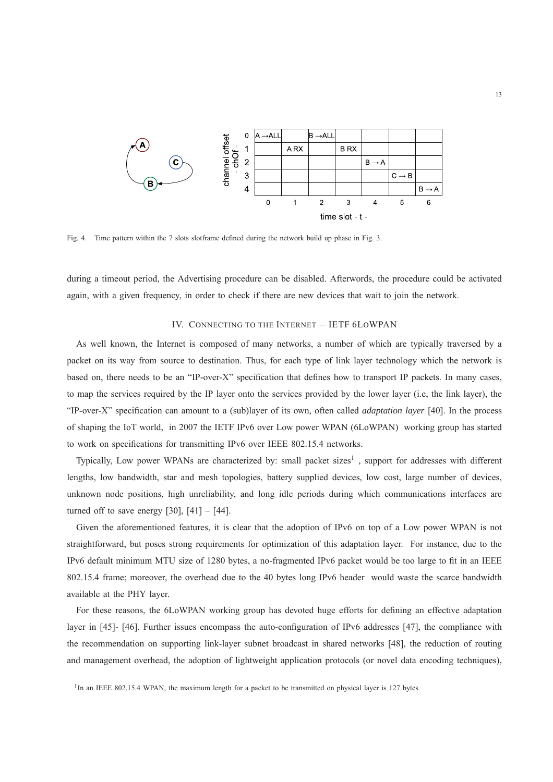

Fig. 4. Time pattern within the 7 slots slotframe defined during the network build up phase in Fig. 3.

during a timeout period, the Advertising procedure can be disabled. Afterwords, the procedure could be activated again, with a given frequency, in order to check if there are new devices that wait to join the network.

## IV. CONNECTING TO THE INTERNET − IETF 6LOWPAN

As well known, the Internet is composed of many networks, a number of which are typically traversed by a packet on its way from source to destination. Thus, for each type of link layer technology which the network is based on, there needs to be an "IP-over-X" specification that defines how to transport IP packets. In many cases, to map the services required by the IP layer onto the services provided by the lower layer (i.e, the link layer), the "IP-over-X" specification can amount to a (sub)layer of its own, often called *adaptation layer* [40]. In the process of shaping the IoT world, in 2007 the IETF IPv6 over Low power WPAN (6LoWPAN) working group has started to work on specifications for transmitting IPv6 over IEEE 802.15.4 networks.

Typically, Low power WPANs are characterized by: small packet sizes<sup>1</sup>, support for addresses with different lengths, low bandwidth, star and mesh topologies, battery supplied devices, low cost, large number of devices, unknown node positions, high unreliability, and long idle periods during which communications interfaces are turned off to save energy  $[30]$ ,  $[41] - [44]$ .

Given the aforementioned features, it is clear that the adoption of IPv6 on top of a Low power WPAN is not straightforward, but poses strong requirements for optimization of this adaptation layer. For instance, due to the IPv6 default minimum MTU size of 1280 bytes, a no-fragmented IPv6 packet would be too large to fit in an IEEE 802.15.4 frame; moreover, the overhead due to the 40 bytes long IPv6 header would waste the scarce bandwidth available at the PHY layer.

For these reasons, the 6LoWPAN working group has devoted huge efforts for defining an effective adaptation layer in [45]- [46]. Further issues encompass the auto-configuration of IPv6 addresses [47], the compliance with the recommendation on supporting link-layer subnet broadcast in shared networks [48], the reduction of routing and management overhead, the adoption of lightweight application protocols (or novel data encoding techniques),

<sup>1</sup>In an IEEE 802.15.4 WPAN, the maximum length for a packet to be transmitted on physical layer is 127 bytes.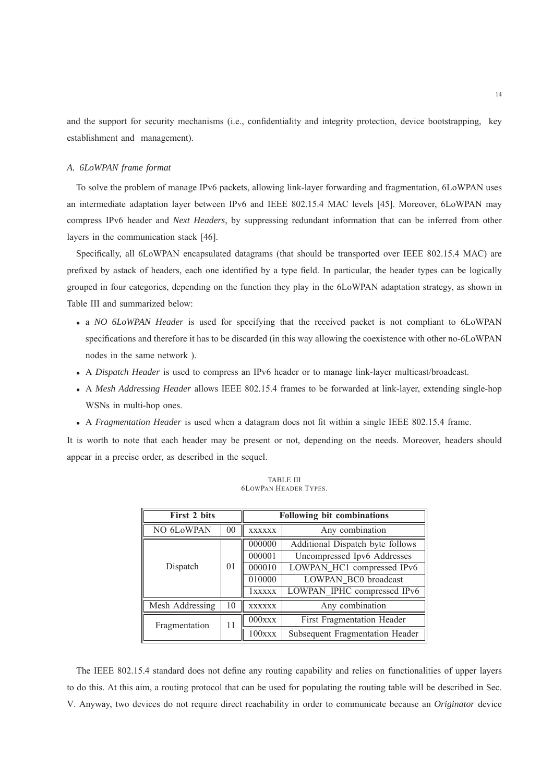and the support for security mechanisms (i.e., confidentiality and integrity protection, device bootstrapping, key establishment and management).

# *A. 6LoWPAN frame format*

To solve the problem of manage IPv6 packets, allowing link-layer forwarding and fragmentation, 6LoWPAN uses an intermediate adaptation layer between IPv6 and IEEE 802.15.4 MAC levels [45]. Moreover, 6LoWPAN may compress IPv6 header and *Next Headers*, by suppressing redundant information that can be inferred from other layers in the communication stack [46].

Specifically, all 6LoWPAN encapsulated datagrams (that should be transported over IEEE 802.15.4 MAC) are prefixed by astack of headers, each one identified by a type field. In particular, the header types can be logically grouped in four categories, depending on the function they play in the 6LoWPAN adaptation strategy, as shown in Table III and summarized below:

- a *NO 6LoWPAN Header* is used for specifying that the received packet is not compliant to 6LoWPAN specifications and therefore it has to be discarded (in this way allowing the coexistence with other no-6LoWPAN nodes in the same network ).
- A *Dispatch Header* is used to compress an IPv6 header or to manage link-layer multicast/broadcast.
- A *Mesh Addressing Header* allows IEEE 802.15.4 frames to be forwarded at link-layer, extending single-hop WSNs in multi-hop ones.
- A *Fragmentation Header* is used when a datagram does not fit within a single IEEE 802.15.4 frame.

It is worth to note that each header may be present or not, depending on the needs. Moreover, headers should appear in a precise order, as described in the sequel.

| First 2 bits          |        | <b>Following bit combinations</b> |                                   |  |
|-----------------------|--------|-----------------------------------|-----------------------------------|--|
| NO 6LoWPAN            | $00\,$ | <b>XXXXXX</b>                     | Any combination                   |  |
|                       | 01     | 000000                            | Additional Dispatch byte follows  |  |
|                       |        | 000001                            | Uncompressed Ipv6 Addresses       |  |
| Dispatch              |        | 000010                            | LOWPAN_HC1 compressed IPv6        |  |
|                       |        | 010000                            | LOWPAN_BC0 broadcast              |  |
|                       |        | 1xxxxx                            | LOWPAN_IPHC compressed IPv6       |  |
| Mesh Addressing<br>10 |        | <b>XXXXXX</b>                     | Any combination                   |  |
| Fragmentation         | 11     | $000$ xxx                         | <b>First Fragmentation Header</b> |  |
|                       |        | $100$ xxx                         | Subsequent Fragmentation Header   |  |

TABLE III 6LOWPAN HEADER TYPES.

The IEEE 802.15.4 standard does not define any routing capability and relies on functionalities of upper layers to do this. At this aim, a routing protocol that can be used for populating the routing table will be described in Sec. V. Anyway, two devices do not require direct reachability in order to communicate because an *Originator* device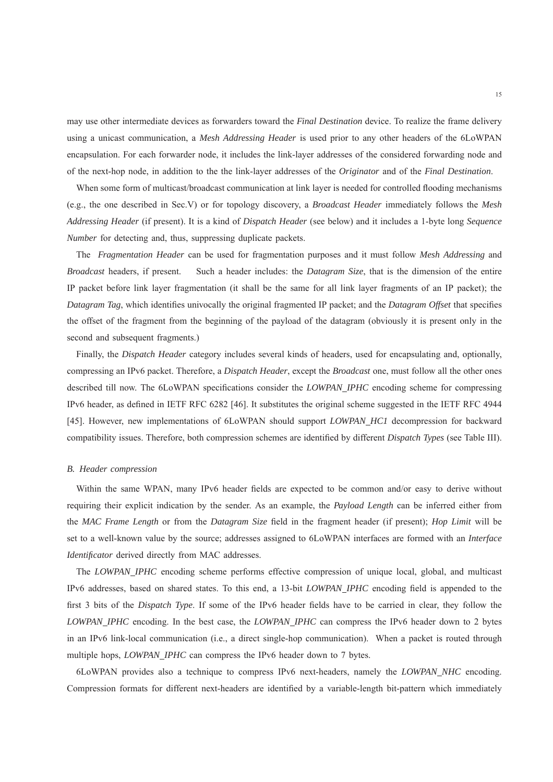may use other intermediate devices as forwarders toward the *Final Destination* device. To realize the frame delivery using a unicast communication, a *Mesh Addressing Header* is used prior to any other headers of the 6LoWPAN encapsulation. For each forwarder node, it includes the link-layer addresses of the considered forwarding node and of the next-hop node, in addition to the the link-layer addresses of the *Originator* and of the *Final Destination*.

When some form of multicast/broadcast communication at link layer is needed for controlled flooding mechanisms (e.g., the one described in Sec.V) or for topology discovery, a *Broadcast Header* immediately follows the *Mesh Addressing Header* (if present). It is a kind of *Dispatch Header* (see below) and it includes a 1-byte long *Sequence Number* for detecting and, thus, suppressing duplicate packets.

The *Fragmentation Header* can be used for fragmentation purposes and it must follow *Mesh Addressing* and *Broadcast* headers, if present. Such a header includes: the *Datagram Size*, that is the dimension of the entire IP packet before link layer fragmentation (it shall be the same for all link layer fragments of an IP packet); the *Datagram Tag*, which identifies univocally the original fragmented IP packet; and the *Datagram Offset* that specifies the offset of the fragment from the beginning of the payload of the datagram (obviously it is present only in the second and subsequent fragments.)

Finally, the *Dispatch Header* category includes several kinds of headers, used for encapsulating and, optionally, compressing an IPv6 packet. Therefore, a *Dispatch Header*, except the *Broadcast* one, must follow all the other ones described till now. The 6LoWPAN specifications consider the *LOWPAN IPHC* encoding scheme for compressing IPv6 header, as defined in IETF RFC 6282 [46]. It substitutes the original scheme suggested in the IETF RFC 4944 [45]. However, new implementations of 6LoWPAN should support *LOWPAN HC1* decompression for backward compatibility issues. Therefore, both compression schemes are identified by different *Dispatch Types* (see Table III).

## *B. Header compression*

Within the same WPAN, many IPv6 header fields are expected to be common and/or easy to derive without requiring their explicit indication by the sender. As an example, the *Payload Length* can be inferred either from the *MAC Frame Length* or from the *Datagram Size* field in the fragment header (if present); *Hop Limit* will be set to a well-known value by the source; addresses assigned to 6LoWPAN interfaces are formed with an *Interface Identificator* derived directly from MAC addresses.

The *LOWPAN IPHC* encoding scheme performs effective compression of unique local, global, and multicast IPv6 addresses, based on shared states. To this end, a 13-bit *LOWPAN IPHC* encoding field is appended to the first 3 bits of the *Dispatch Type*. If some of the IPv6 header fields have to be carried in clear, they follow the *LOWPAN IPHC* encoding. In the best case, the *LOWPAN IPHC* can compress the IPv6 header down to 2 bytes in an IPv6 link-local communication (i.e., a direct single-hop communication). When a packet is routed through multiple hops, *LOWPAN\_IPHC* can compress the IPv6 header down to 7 bytes.

6LoWPAN provides also a technique to compress IPv6 next-headers, namely the *LOWPAN NHC* encoding. Compression formats for different next-headers are identified by a variable-length bit-pattern which immediately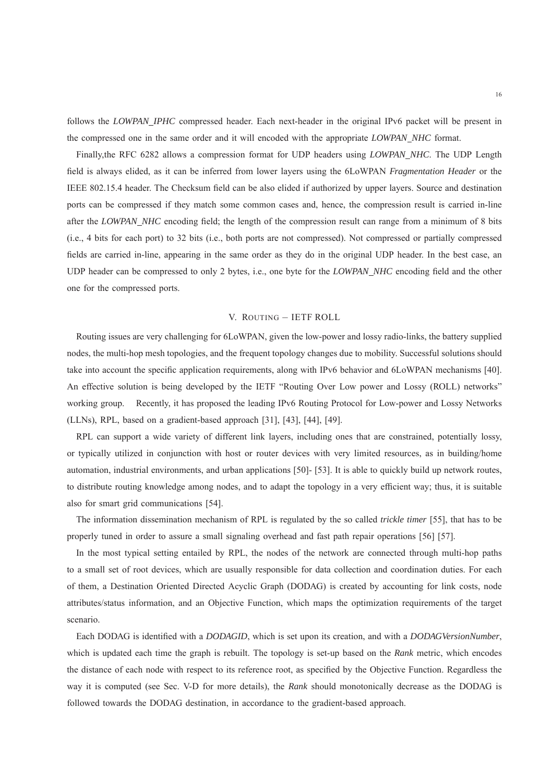follows the *LOWPAN IPHC* compressed header. Each next-header in the original IPv6 packet will be present in the compressed one in the same order and it will encoded with the appropriate *LOWPAN NHC* format.

Finally,the RFC 6282 allows a compression format for UDP headers using *LOWPAN NHC*. The UDP Length field is always elided, as it can be inferred from lower layers using the 6LoWPAN *Fragmentation Header* or the IEEE 802.15.4 header. The Checksum field can be also elided if authorized by upper layers. Source and destination ports can be compressed if they match some common cases and, hence, the compression result is carried in-line after the *LOWPAN NHC* encoding field; the length of the compression result can range from a minimum of 8 bits (i.e., 4 bits for each port) to 32 bits (i.e., both ports are not compressed). Not compressed or partially compressed fields are carried in-line, appearing in the same order as they do in the original UDP header. In the best case, an UDP header can be compressed to only 2 bytes, i.e., one byte for the *LOWPAN NHC* encoding field and the other one for the compressed ports.

#### V. ROUTING − IETF ROLL

Routing issues are very challenging for 6LoWPAN, given the low-power and lossy radio-links, the battery supplied nodes, the multi-hop mesh topologies, and the frequent topology changes due to mobility. Successful solutions should take into account the specific application requirements, along with IPv6 behavior and 6LoWPAN mechanisms [40]. An effective solution is being developed by the IETF "Routing Over Low power and Lossy (ROLL) networks" working group. Recently, it has proposed the leading IPv6 Routing Protocol for Low-power and Lossy Networks (LLNs), RPL, based on a gradient-based approach [31], [43], [44], [49].

RPL can support a wide variety of different link layers, including ones that are constrained, potentially lossy, or typically utilized in conjunction with host or router devices with very limited resources, as in building/home automation, industrial environments, and urban applications [50]- [53]. It is able to quickly build up network routes, to distribute routing knowledge among nodes, and to adapt the topology in a very efficient way; thus, it is suitable also for smart grid communications [54].

The information dissemination mechanism of RPL is regulated by the so called *trickle timer* [55], that has to be properly tuned in order to assure a small signaling overhead and fast path repair operations [56] [57].

In the most typical setting entailed by RPL, the nodes of the network are connected through multi-hop paths to a small set of root devices, which are usually responsible for data collection and coordination duties. For each of them, a Destination Oriented Directed Acyclic Graph (DODAG) is created by accounting for link costs, node attributes/status information, and an Objective Function, which maps the optimization requirements of the target scenario.

Each DODAG is identified with a *DODAGID*, which is set upon its creation, and with a *DODAGVersionNumber*, which is updated each time the graph is rebuilt. The topology is set-up based on the *Rank* metric, which encodes the distance of each node with respect to its reference root, as specified by the Objective Function. Regardless the way it is computed (see Sec. V-D for more details), the *Rank* should monotonically decrease as the DODAG is followed towards the DODAG destination, in accordance to the gradient-based approach.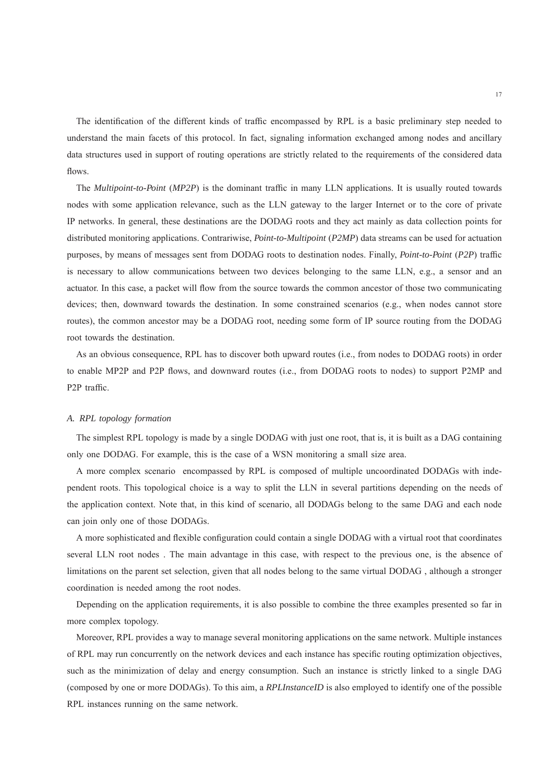The identification of the different kinds of traffic encompassed by RPL is a basic preliminary step needed to understand the main facets of this protocol. In fact, signaling information exchanged among nodes and ancillary data structures used in support of routing operations are strictly related to the requirements of the considered data flows.

The *Multipoint-to-Point* (*MP2P*) is the dominant traffic in many LLN applications. It is usually routed towards nodes with some application relevance, such as the LLN gateway to the larger Internet or to the core of private IP networks. In general, these destinations are the DODAG roots and they act mainly as data collection points for distributed monitoring applications. Contrariwise, *Point-to-Multipoint* (*P2MP*) data streams can be used for actuation purposes, by means of messages sent from DODAG roots to destination nodes. Finally, *Point-to-Point* (*P2P*) traffic is necessary to allow communications between two devices belonging to the same LLN, e.g., a sensor and an actuator. In this case, a packet will flow from the source towards the common ancestor of those two communicating devices; then, downward towards the destination. In some constrained scenarios (e.g., when nodes cannot store routes), the common ancestor may be a DODAG root, needing some form of IP source routing from the DODAG root towards the destination.

As an obvious consequence, RPL has to discover both upward routes (i.e., from nodes to DODAG roots) in order to enable MP2P and P2P flows, and downward routes (i.e., from DODAG roots to nodes) to support P2MP and P2P traffic.

## *A. RPL topology formation*

The simplest RPL topology is made by a single DODAG with just one root, that is, it is built as a DAG containing only one DODAG. For example, this is the case of a WSN monitoring a small size area.

A more complex scenario encompassed by RPL is composed of multiple uncoordinated DODAGs with independent roots. This topological choice is a way to split the LLN in several partitions depending on the needs of the application context. Note that, in this kind of scenario, all DODAGs belong to the same DAG and each node can join only one of those DODAGs.

A more sophisticated and flexible configuration could contain a single DODAG with a virtual root that coordinates several LLN root nodes . The main advantage in this case, with respect to the previous one, is the absence of limitations on the parent set selection, given that all nodes belong to the same virtual DODAG , although a stronger coordination is needed among the root nodes.

Depending on the application requirements, it is also possible to combine the three examples presented so far in more complex topology.

Moreover, RPL provides a way to manage several monitoring applications on the same network. Multiple instances of RPL may run concurrently on the network devices and each instance has specific routing optimization objectives, such as the minimization of delay and energy consumption. Such an instance is strictly linked to a single DAG (composed by one or more DODAGs). To this aim, a *RPLInstanceID* is also employed to identify one of the possible RPL instances running on the same network.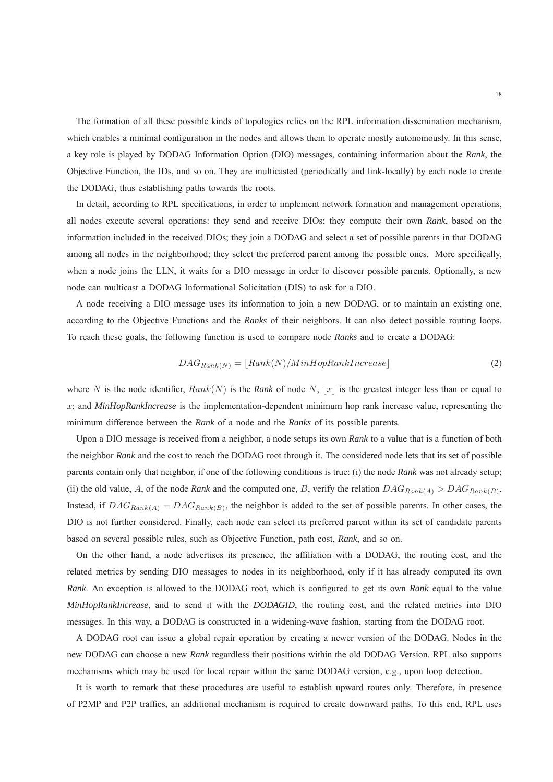The formation of all these possible kinds of topologies relies on the RPL information dissemination mechanism, which enables a minimal configuration in the nodes and allows them to operate mostly autonomously. In this sense, a key role is played by DODAG Information Option (DIO) messages, containing information about the *Rank*, the Objective Function, the IDs, and so on. They are multicasted (periodically and link-locally) by each node to create the DODAG, thus establishing paths towards the roots.

In detail, according to RPL specifications, in order to implement network formation and management operations, all nodes execute several operations: they send and receive DIOs; they compute their own *Rank*, based on the information included in the received DIOs; they join a DODAG and select a set of possible parents in that DODAG among all nodes in the neighborhood; they select the preferred parent among the possible ones. More specifically, when a node joins the LLN, it waits for a DIO message in order to discover possible parents. Optionally, a new node can multicast a DODAG Informational Solicitation (DIS) to ask for a DIO.

A node receiving a DIO message uses its information to join a new DODAG, or to maintain an existing one, according to the Objective Functions and the *Ranks* of their neighbors. It can also detect possible routing loops. To reach these goals, the following function is used to compare node *Ranks* and to create a DODAG:

$$
DAG_{Rank(N)} = \lfloor Rank(N)/MinHopRankIncrease \rfloor
$$
 (2)

where N is the node identifier,  $Rank(N)$  is the *Rank* of node N,  $|x|$  is the greatest integer less than or equal to x; and *MinHopRankIncrease* is the implementation-dependent minimum hop rank increase value, representing the minimum difference between the *Rank* of a node and the *Ranks* of its possible parents.

Upon a DIO message is received from a neighbor, a node setups its own *Rank* to a value that is a function of both the neighbor *Rank* and the cost to reach the DODAG root through it. The considered node lets that its set of possible parents contain only that neighbor, if one of the following conditions is true: (i) the node *Rank* was not already setup; (ii) the old value, A, of the node *Rank* and the computed one, B, verify the relation  $DAG_{Rank(A)} > DAG_{Rank(B)}$ . Instead, if  $DAG_{Rank(A)} = DAG_{Rank(B)}$ , the neighbor is added to the set of possible parents. In other cases, the DIO is not further considered. Finally, each node can select its preferred parent within its set of candidate parents based on several possible rules, such as Objective Function, path cost, *Rank*, and so on.

On the other hand, a node advertises its presence, the affiliation with a DODAG, the routing cost, and the related metrics by sending DIO messages to nodes in its neighborhood, only if it has already computed its own *Rank*. An exception is allowed to the DODAG root, which is configured to get its own *Rank* equal to the value *MinHopRankIncrease*, and to send it with the *DODAGID*, the routing cost, and the related metrics into DIO messages. In this way, a DODAG is constructed in a widening-wave fashion, starting from the DODAG root.

A DODAG root can issue a global repair operation by creating a newer version of the DODAG. Nodes in the new DODAG can choose a new *Rank* regardless their positions within the old DODAG Version. RPL also supports mechanisms which may be used for local repair within the same DODAG version, e.g., upon loop detection.

It is worth to remark that these procedures are useful to establish upward routes only. Therefore, in presence of P2MP and P2P traffics, an additional mechanism is required to create downward paths. To this end, RPL uses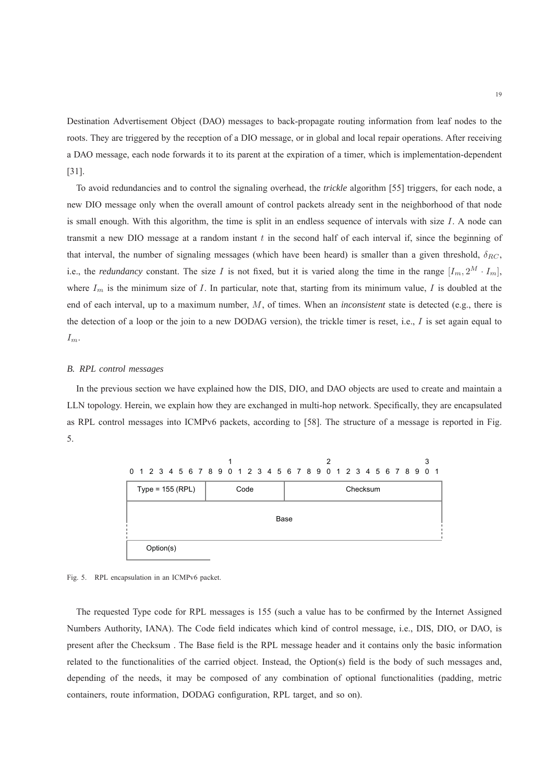Destination Advertisement Object (DAO) messages to back-propagate routing information from leaf nodes to the roots. They are triggered by the reception of a DIO message, or in global and local repair operations. After receiving a DAO message, each node forwards it to its parent at the expiration of a timer, which is implementation-dependent [31].

To avoid redundancies and to control the signaling overhead, the *trickle* algorithm [55] triggers, for each node, a new DIO message only when the overall amount of control packets already sent in the neighborhood of that node is small enough. With this algorithm, the time is split in an endless sequence of intervals with size  $I$ . A node can transmit a new DIO message at a random instant  $t$  in the second half of each interval if, since the beginning of that interval, the number of signaling messages (which have been heard) is smaller than a given threshold,  $\delta_{RC}$ , i.e., the *redundancy* constant. The size I is not fixed, but it is varied along the time in the range  $[I_m, 2^M \cdot I_m]$ , where  $I_m$  is the minimum size of I. In particular, note that, starting from its minimum value, I is doubled at the end of each interval, up to a maximum number, M, of times. When an *inconsistent* state is detected (e.g., there is the detection of a loop or the join to a new DODAG version), the trickle timer is reset, i.e.,  $I$  is set again equal to  $I_m$ .

#### *B. RPL control messages*

In the previous section we have explained how the DIS, DIO, and DAO objects are used to create and maintain a LLN topology. Herein, we explain how they are exchanged in multi-hop network. Specifically, they are encapsulated as RPL control messages into ICMPv6 packets, according to [58]. The structure of a message is reported in Fig. 5.



Fig. 5. RPL encapsulation in an ICMPv6 packet.

The requested Type code for RPL messages is 155 (such a value has to be confirmed by the Internet Assigned Numbers Authority, IANA). The Code field indicates which kind of control message, i.e., DIS, DIO, or DAO, is present after the Checksum . The Base field is the RPL message header and it contains only the basic information related to the functionalities of the carried object. Instead, the Option(s) field is the body of such messages and, depending of the needs, it may be composed of any combination of optional functionalities (padding, metric containers, route information, DODAG configuration, RPL target, and so on).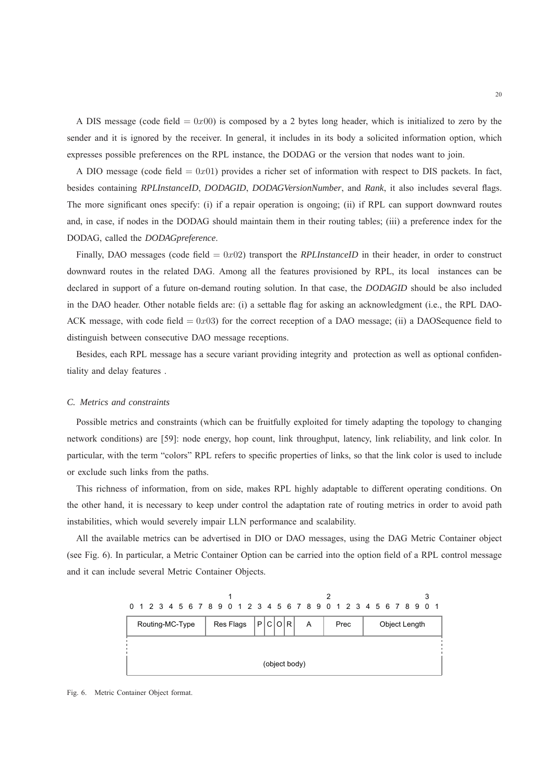A DIS message (code field  $= 0x00$ ) is composed by a 2 bytes long header, which is initialized to zero by the sender and it is ignored by the receiver. In general, it includes in its body a solicited information option, which expresses possible preferences on the RPL instance, the DODAG or the version that nodes want to join.

A DIO message (code field  $= 0x01$ ) provides a richer set of information with respect to DIS packets. In fact, besides containing *RPLInstanceID*, *DODAGID*, *DODAGVersionNumber*, and *Rank*, it also includes several flags. The more significant ones specify: (i) if a repair operation is ongoing; (ii) if RPL can support downward routes and, in case, if nodes in the DODAG should maintain them in their routing tables; (iii) a preference index for the DODAG, called the *DODAGpreference*.

Finally, DAO messages (code field  $= 0x02$ ) transport the *RPLInstanceID* in their header, in order to construct downward routes in the related DAG. Among all the features provisioned by RPL, its local instances can be declared in support of a future on-demand routing solution. In that case, the *DODAGID* should be also included in the DAO header. Other notable fields are: (i) a settable flag for asking an acknowledgment (i.e., the RPL DAO-ACK message, with code field  $= 0x03$ ) for the correct reception of a DAO message; (ii) a DAOSequence field to distinguish between consecutive DAO message receptions.

Besides, each RPL message has a secure variant providing integrity and protection as well as optional confidentiality and delay features .

## *C. Metrics and constraints*

Possible metrics and constraints (which can be fruitfully exploited for timely adapting the topology to changing network conditions) are [59]: node energy, hop count, link throughput, latency, link reliability, and link color. In particular, with the term "colors" RPL refers to specific properties of links, so that the link color is used to include or exclude such links from the paths.

This richness of information, from on side, makes RPL highly adaptable to different operating conditions. On the other hand, it is necessary to keep under control the adaptation rate of routing metrics in order to avoid path instabilities, which would severely impair LLN performance and scalability.

All the available metrics can be advertised in DIO or DAO messages, using the DAG Metric Container object (see Fig. 6). In particular, a Metric Container Option can be carried into the option field of a RPL control message and it can include several Metric Container Objects.



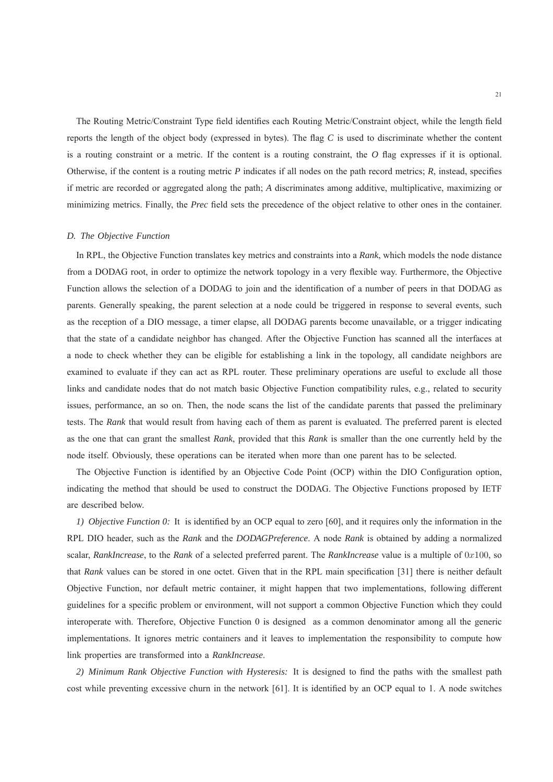The Routing Metric/Constraint Type field identifies each Routing Metric/Constraint object, while the length field reports the length of the object body (expressed in bytes). The flag *C* is used to discriminate whether the content is a routing constraint or a metric. If the content is a routing constraint, the *O* flag expresses if it is optional. Otherwise, if the content is a routing metric *P* indicates if all nodes on the path record metrics; *R*, instead, specifies if metric are recorded or aggregated along the path; *A* discriminates among additive, multiplicative, maximizing or minimizing metrics. Finally, the *Prec* field sets the precedence of the object relative to other ones in the container.

#### *D. The Objective Function*

In RPL, the Objective Function translates key metrics and constraints into a *Rank*, which models the node distance from a DODAG root, in order to optimize the network topology in a very flexible way. Furthermore, the Objective Function allows the selection of a DODAG to join and the identification of a number of peers in that DODAG as parents. Generally speaking, the parent selection at a node could be triggered in response to several events, such as the reception of a DIO message, a timer elapse, all DODAG parents become unavailable, or a trigger indicating that the state of a candidate neighbor has changed. After the Objective Function has scanned all the interfaces at a node to check whether they can be eligible for establishing a link in the topology, all candidate neighbors are examined to evaluate if they can act as RPL router. These preliminary operations are useful to exclude all those links and candidate nodes that do not match basic Objective Function compatibility rules, e.g., related to security issues, performance, an so on. Then, the node scans the list of the candidate parents that passed the preliminary tests. The *Rank* that would result from having each of them as parent is evaluated. The preferred parent is elected as the one that can grant the smallest *Rank*, provided that this *Rank* is smaller than the one currently held by the node itself. Obviously, these operations can be iterated when more than one parent has to be selected.

The Objective Function is identified by an Objective Code Point (OCP) within the DIO Configuration option, indicating the method that should be used to construct the DODAG. The Objective Functions proposed by IETF are described below.

*1) Objective Function 0:* It is identified by an OCP equal to zero [60], and it requires only the information in the RPL DIO header, such as the *Rank* and the *DODAGPreference*. A node *Rank* is obtained by adding a normalized scalar, *RankIncrease*, to the *Rank* of a selected preferred parent. The *RankIncrease* value is a multiple of 0x100, so that *Rank* values can be stored in one octet. Given that in the RPL main specification [31] there is neither default Objective Function, nor default metric container, it might happen that two implementations, following different guidelines for a specific problem or environment, will not support a common Objective Function which they could interoperate with. Therefore, Objective Function 0 is designed as a common denominator among all the generic implementations. It ignores metric containers and it leaves to implementation the responsibility to compute how link properties are transformed into a *RankIncrease*.

*2) Minimum Rank Objective Function with Hysteresis:* It is designed to find the paths with the smallest path cost while preventing excessive churn in the network [61]. It is identified by an OCP equal to 1. A node switches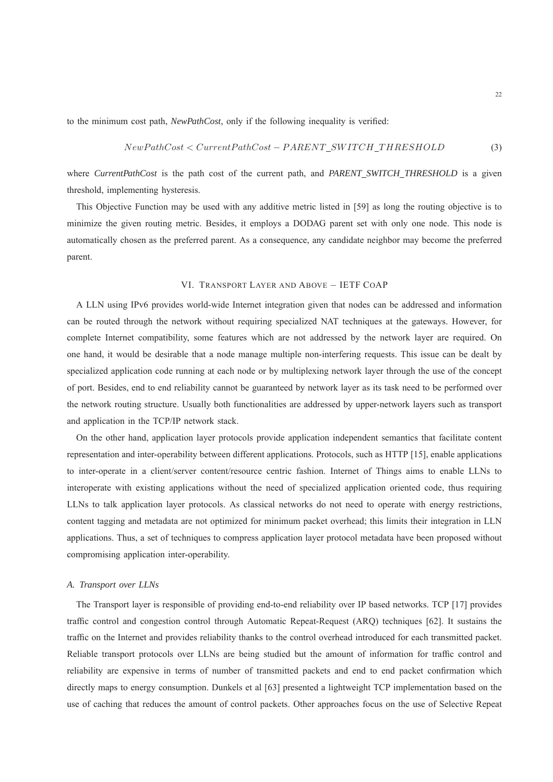to the minimum cost path, *NewPathCost*, only if the following inequality is verified:

$$
NewPathCost < CurrentPathCost-PARENT\_SWITCH\_THRESHOLD
$$
\n(3)

where *CurrentPathCost* is the path cost of the current path, and *PARENT SWITCH THRESHOLD* is a given threshold, implementing hysteresis.

This Objective Function may be used with any additive metric listed in [59] as long the routing objective is to minimize the given routing metric. Besides, it employs a DODAG parent set with only one node. This node is automatically chosen as the preferred parent. As a consequence, any candidate neighbor may become the preferred parent.

## VI. TRANSPORT LAYER AND ABOVE − IETF COAP

A LLN using IPv6 provides world-wide Internet integration given that nodes can be addressed and information can be routed through the network without requiring specialized NAT techniques at the gateways. However, for complete Internet compatibility, some features which are not addressed by the network layer are required. On one hand, it would be desirable that a node manage multiple non-interfering requests. This issue can be dealt by specialized application code running at each node or by multiplexing network layer through the use of the concept of port. Besides, end to end reliability cannot be guaranteed by network layer as its task need to be performed over the network routing structure. Usually both functionalities are addressed by upper-network layers such as transport and application in the TCP/IP network stack.

On the other hand, application layer protocols provide application independent semantics that facilitate content representation and inter-operability between different applications. Protocols, such as HTTP [15], enable applications to inter-operate in a client/server content/resource centric fashion. Internet of Things aims to enable LLNs to interoperate with existing applications without the need of specialized application oriented code, thus requiring LLNs to talk application layer protocols. As classical networks do not need to operate with energy restrictions, content tagging and metadata are not optimized for minimum packet overhead; this limits their integration in LLN applications. Thus, a set of techniques to compress application layer protocol metadata have been proposed without compromising application inter-operability.

## *A. Transport over LLNs*

The Transport layer is responsible of providing end-to-end reliability over IP based networks. TCP [17] provides traffic control and congestion control through Automatic Repeat-Request (ARQ) techniques [62]. It sustains the traffic on the Internet and provides reliability thanks to the control overhead introduced for each transmitted packet. Reliable transport protocols over LLNs are being studied but the amount of information for traffic control and reliability are expensive in terms of number of transmitted packets and end to end packet confirmation which directly maps to energy consumption. Dunkels et al [63] presented a lightweight TCP implementation based on the use of caching that reduces the amount of control packets. Other approaches focus on the use of Selective Repeat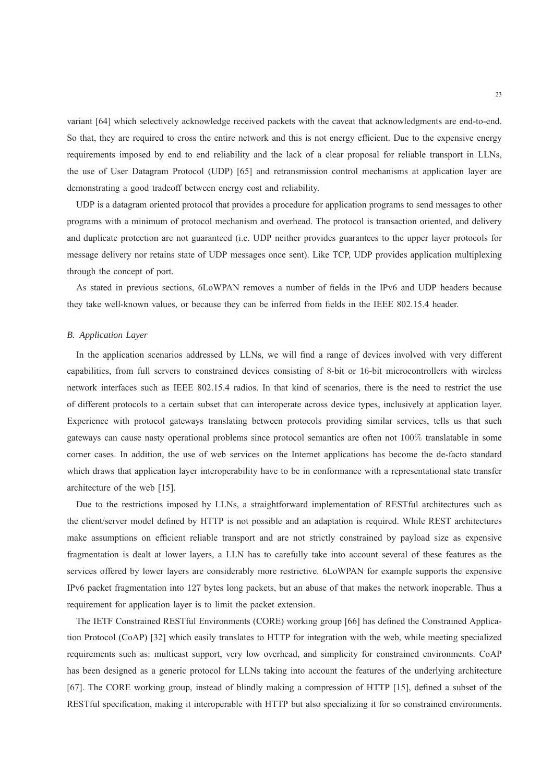variant [64] which selectively acknowledge received packets with the caveat that acknowledgments are end-to-end. So that, they are required to cross the entire network and this is not energy efficient. Due to the expensive energy requirements imposed by end to end reliability and the lack of a clear proposal for reliable transport in LLNs, the use of User Datagram Protocol (UDP) [65] and retransmission control mechanisms at application layer are demonstrating a good tradeoff between energy cost and reliability.

UDP is a datagram oriented protocol that provides a procedure for application programs to send messages to other programs with a minimum of protocol mechanism and overhead. The protocol is transaction oriented, and delivery and duplicate protection are not guaranteed (i.e. UDP neither provides guarantees to the upper layer protocols for message delivery nor retains state of UDP messages once sent). Like TCP, UDP provides application multiplexing through the concept of port.

As stated in previous sections, 6LoWPAN removes a number of fields in the IPv6 and UDP headers because they take well-known values, or because they can be inferred from fields in the IEEE 802.15.4 header.

## *B. Application Layer*

In the application scenarios addressed by LLNs, we will find a range of devices involved with very different capabilities, from full servers to constrained devices consisting of 8-bit or 16-bit microcontrollers with wireless network interfaces such as IEEE 802.15.4 radios. In that kind of scenarios, there is the need to restrict the use of different protocols to a certain subset that can interoperate across device types, inclusively at application layer. Experience with protocol gateways translating between protocols providing similar services, tells us that such gateways can cause nasty operational problems since protocol semantics are often not 100% translatable in some corner cases. In addition, the use of web services on the Internet applications has become the de-facto standard which draws that application layer interoperability have to be in conformance with a representational state transfer architecture of the web [15].

Due to the restrictions imposed by LLNs, a straightforward implementation of RESTful architectures such as the client/server model defined by HTTP is not possible and an adaptation is required. While REST architectures make assumptions on efficient reliable transport and are not strictly constrained by payload size as expensive fragmentation is dealt at lower layers, a LLN has to carefully take into account several of these features as the services offered by lower layers are considerably more restrictive. 6LoWPAN for example supports the expensive IPv6 packet fragmentation into 127 bytes long packets, but an abuse of that makes the network inoperable. Thus a requirement for application layer is to limit the packet extension.

The IETF Constrained RESTful Environments (CORE) working group [66] has defined the Constrained Application Protocol (CoAP) [32] which easily translates to HTTP for integration with the web, while meeting specialized requirements such as: multicast support, very low overhead, and simplicity for constrained environments. CoAP has been designed as a generic protocol for LLNs taking into account the features of the underlying architecture [67]. The CORE working group, instead of blindly making a compression of HTTP [15], defined a subset of the RESTful specification, making it interoperable with HTTP but also specializing it for so constrained environments.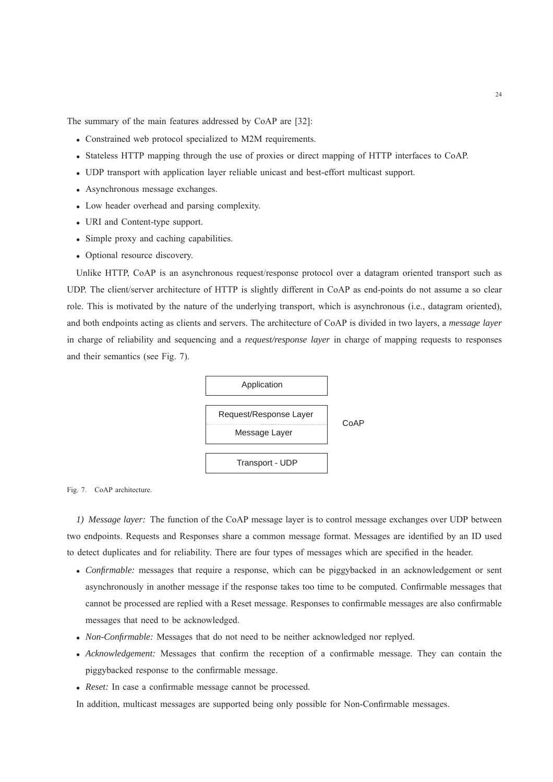The summary of the main features addressed by CoAP are [32]:

- Constrained web protocol specialized to M2M requirements.
- Stateless HTTP mapping through the use of proxies or direct mapping of HTTP interfaces to CoAP.
- UDP transport with application layer reliable unicast and best-effort multicast support.
- Asynchronous message exchanges.
- Low header overhead and parsing complexity.
- URI and Content-type support.
- Simple proxy and caching capabilities.
- Optional resource discovery.

Unlike HTTP, CoAP is an asynchronous request/response protocol over a datagram oriented transport such as UDP. The client/server architecture of HTTP is slightly different in CoAP as end-points do not assume a so clear role. This is motivated by the nature of the underlying transport, which is asynchronous (i.e., datagram oriented), and both endpoints acting as clients and servers. The architecture of CoAP is divided in two layers, a *message layer* in charge of reliability and sequencing and a *request/response layer* in charge of mapping requests to responses and their semantics (see Fig. 7).



Fig. 7. CoAP architecture.

*1) Message layer:* The function of the CoAP message layer is to control message exchanges over UDP between two endpoints. Requests and Responses share a common message format. Messages are identified by an ID used to detect duplicates and for reliability. There are four types of messages which are specified in the header.

- *Confirmable:* messages that require a response, which can be piggybacked in an acknowledgement or sent asynchronously in another message if the response takes too time to be computed. Confirmable messages that cannot be processed are replied with a Reset message. Responses to confirmable messages are also confirmable messages that need to be acknowledged.
- *Non-Confirmable:* Messages that do not need to be neither acknowledged nor replyed.
- *Acknowledgement:* Messages that confirm the reception of a confirmable message. They can contain the piggybacked response to the confirmable message.
- *Reset:* In case a confirmable message cannot be processed.

In addition, multicast messages are supported being only possible for Non-Confirmable messages.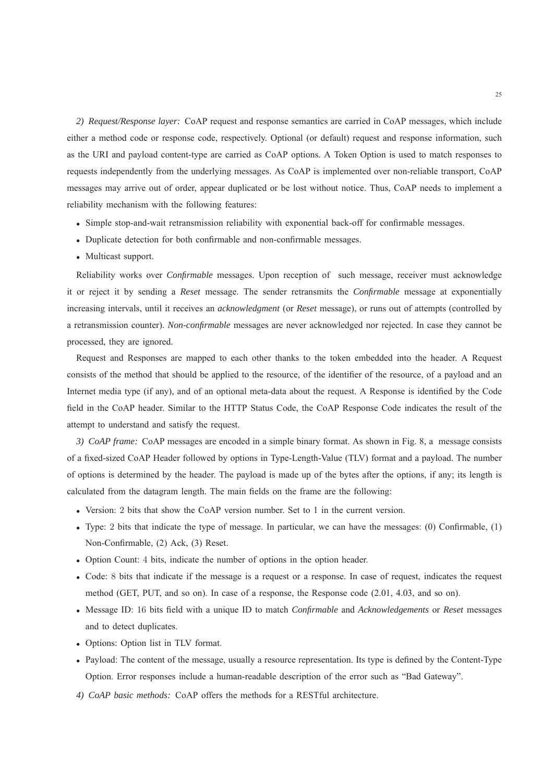*2) Request/Response layer:* CoAP request and response semantics are carried in CoAP messages, which include either a method code or response code, respectively. Optional (or default) request and response information, such as the URI and payload content-type are carried as CoAP options. A Token Option is used to match responses to requests independently from the underlying messages. As CoAP is implemented over non-reliable transport, CoAP messages may arrive out of order, appear duplicated or be lost without notice. Thus, CoAP needs to implement a reliability mechanism with the following features:

- Simple stop-and-wait retransmission reliability with exponential back-off for confirmable messages.
- Duplicate detection for both confirmable and non-confirmable messages.
- Multicast support.

Reliability works over *Confirmable* messages. Upon reception of such message, receiver must acknowledge it or reject it by sending a *Reset* message. The sender retransmits the *Confirmable* message at exponentially increasing intervals, until it receives an *acknowledgment* (or *Reset* message), or runs out of attempts (controlled by a retransmission counter). *Non-confirmable* messages are never acknowledged nor rejected. In case they cannot be processed, they are ignored.

Request and Responses are mapped to each other thanks to the token embedded into the header. A Request consists of the method that should be applied to the resource, of the identifier of the resource, of a payload and an Internet media type (if any), and of an optional meta-data about the request. A Response is identified by the Code field in the CoAP header. Similar to the HTTP Status Code, the CoAP Response Code indicates the result of the attempt to understand and satisfy the request.

*3) CoAP frame:* CoAP messages are encoded in a simple binary format. As shown in Fig. 8, a message consists of a fixed-sized CoAP Header followed by options in Type-Length-Value (TLV) format and a payload. The number of options is determined by the header. The payload is made up of the bytes after the options, if any; its length is calculated from the datagram length. The main fields on the frame are the following:

- Version: 2 bits that show the CoAP version number. Set to 1 in the current version.
- Type: 2 bits that indicate the type of message. In particular, we can have the messages: (0) Confirmable, (1) Non-Confirmable, (2) Ack, (3) Reset.
- Option Count: 4 bits, indicate the number of options in the option header.
- Code: 8 bits that indicate if the message is a request or a response. In case of request, indicates the request method (GET, PUT, and so on). In case of a response, the Response code (2.01, 4.03, and so on).
- Message ID: 16 bits field with a unique ID to match *Confirmable* and *Acknowledgements* or *Reset* messages and to detect duplicates.
- Options: Option list in TLV format.
- Payload: The content of the message, usually a resource representation. Its type is defined by the Content-Type Option. Error responses include a human-readable description of the error such as "Bad Gateway".
- *4) CoAP basic methods:* CoAP offers the methods for a RESTful architecture.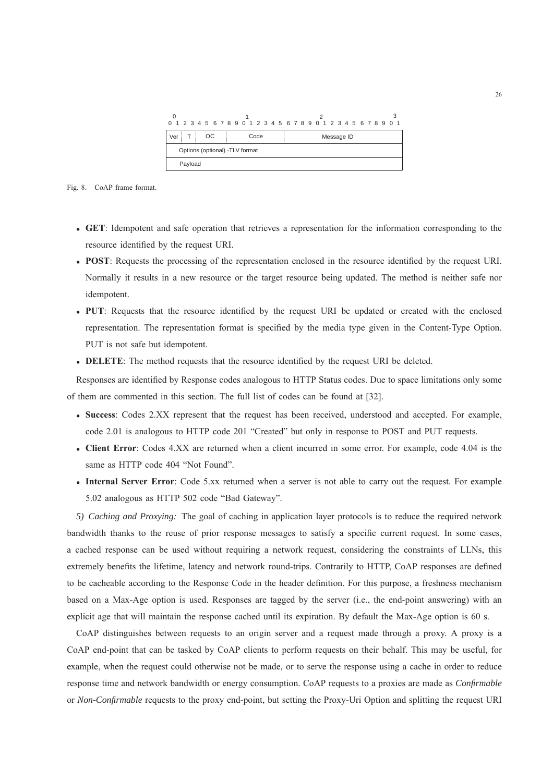

Fig. 8. CoAP frame format.

- **GET**: Idempotent and safe operation that retrieves a representation for the information corresponding to the resource identified by the request URI.
- **POST**: Requests the processing of the representation enclosed in the resource identified by the request URI. Normally it results in a new resource or the target resource being updated. The method is neither safe nor idempotent.
- **PUT**: Requests that the resource identified by the request URI be updated or created with the enclosed representation. The representation format is specified by the media type given in the Content-Type Option. PUT is not safe but idempotent.
- **DELETE**: The method requests that the resource identified by the request URI be deleted.

Responses are identified by Response codes analogous to HTTP Status codes. Due to space limitations only some of them are commented in this section. The full list of codes can be found at [32].

- **Success**: Codes 2.XX represent that the request has been received, understood and accepted. For example, code 2.01 is analogous to HTTP code 201 "Created" but only in response to POST and PUT requests.
- **Client Error**: Codes 4.XX are returned when a client incurred in some error. For example, code 4.04 is the same as HTTP code 404 "Not Found".
- **Internal Server Error**: Code 5.xx returned when a server is not able to carry out the request. For example 5.02 analogous as HTTP 502 code "Bad Gateway".

*5) Caching and Proxying:* The goal of caching in application layer protocols is to reduce the required network bandwidth thanks to the reuse of prior response messages to satisfy a specific current request. In some cases, a cached response can be used without requiring a network request, considering the constraints of LLNs, this extremely benefits the lifetime, latency and network round-trips. Contrarily to HTTP, CoAP responses are defined to be cacheable according to the Response Code in the header definition. For this purpose, a freshness mechanism based on a Max-Age option is used. Responses are tagged by the server (i.e., the end-point answering) with an explicit age that will maintain the response cached until its expiration. By default the Max-Age option is 60 s.

CoAP distinguishes between requests to an origin server and a request made through a proxy. A proxy is a CoAP end-point that can be tasked by CoAP clients to perform requests on their behalf. This may be useful, for example, when the request could otherwise not be made, or to serve the response using a cache in order to reduce response time and network bandwidth or energy consumption. CoAP requests to a proxies are made as *Confirmable* or *Non-Confirmable* requests to the proxy end-point, but setting the Proxy-Uri Option and splitting the request URI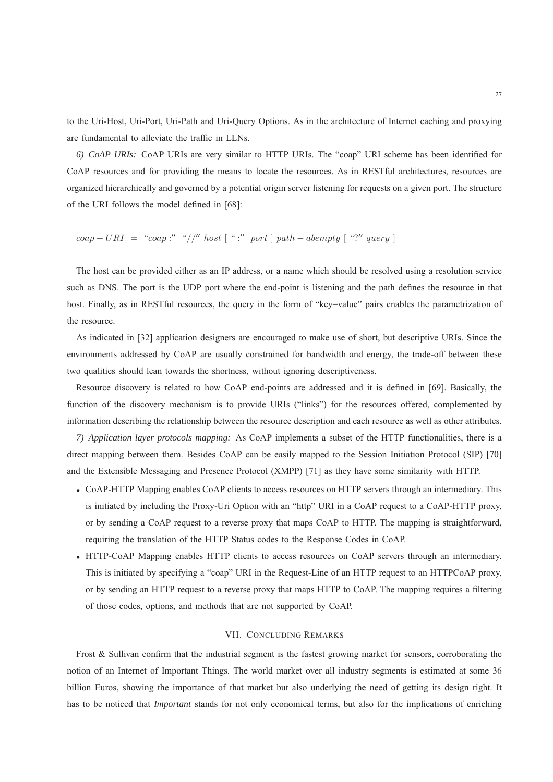to the Uri-Host, Uri-Port, Uri-Path and Uri-Query Options. As in the architecture of Internet caching and proxying are fundamental to alleviate the traffic in LLNs.

*6) CoAP URIs:* CoAP URIs are very similar to HTTP URIs. The "coap" URI scheme has been identified for CoAP resources and for providing the means to locate the resources. As in RESTful architectures, resources are organized hierarchically and governed by a potential origin server listening for requests on a given port. The structure of the URI follows the model defined in [68]:

 $\textit{coap}-URI = \text{``coap''} \text{''}/\text{''} \text{ host } [\text{``:''} \text{ port }] \text{ path}-ab \text{empty } [\text{``?''} \text{ query }]$ 

The host can be provided either as an IP address, or a name which should be resolved using a resolution service such as DNS. The port is the UDP port where the end-point is listening and the path defines the resource in that host. Finally, as in RESTful resources, the query in the form of "key=value" pairs enables the parametrization of the resource.

As indicated in [32] application designers are encouraged to make use of short, but descriptive URIs. Since the environments addressed by CoAP are usually constrained for bandwidth and energy, the trade-off between these two qualities should lean towards the shortness, without ignoring descriptiveness.

Resource discovery is related to how CoAP end-points are addressed and it is defined in [69]. Basically, the function of the discovery mechanism is to provide URIs ("links") for the resources offered, complemented by information describing the relationship between the resource description and each resource as well as other attributes.

*7) Application layer protocols mapping:* As CoAP implements a subset of the HTTP functionalities, there is a direct mapping between them. Besides CoAP can be easily mapped to the Session Initiation Protocol (SIP) [70] and the Extensible Messaging and Presence Protocol (XMPP) [71] as they have some similarity with HTTP.

- CoAP-HTTP Mapping enables CoAP clients to access resources on HTTP servers through an intermediary. This is initiated by including the Proxy-Uri Option with an "http" URI in a CoAP request to a CoAP-HTTP proxy, or by sending a CoAP request to a reverse proxy that maps CoAP to HTTP. The mapping is straightforward, requiring the translation of the HTTP Status codes to the Response Codes in CoAP.
- HTTP-CoAP Mapping enables HTTP clients to access resources on CoAP servers through an intermediary. This is initiated by specifying a "coap" URI in the Request-Line of an HTTP request to an HTTPCoAP proxy, or by sending an HTTP request to a reverse proxy that maps HTTP to CoAP. The mapping requires a filtering of those codes, options, and methods that are not supported by CoAP.

# VII. CONCLUDING REMARKS

Frost  $\&$  Sullivan confirm that the industrial segment is the fastest growing market for sensors, corroborating the notion of an Internet of Important Things. The world market over all industry segments is estimated at some 36 billion Euros, showing the importance of that market but also underlying the need of getting its design right. It has to be noticed that *Important* stands for not only economical terms, but also for the implications of enriching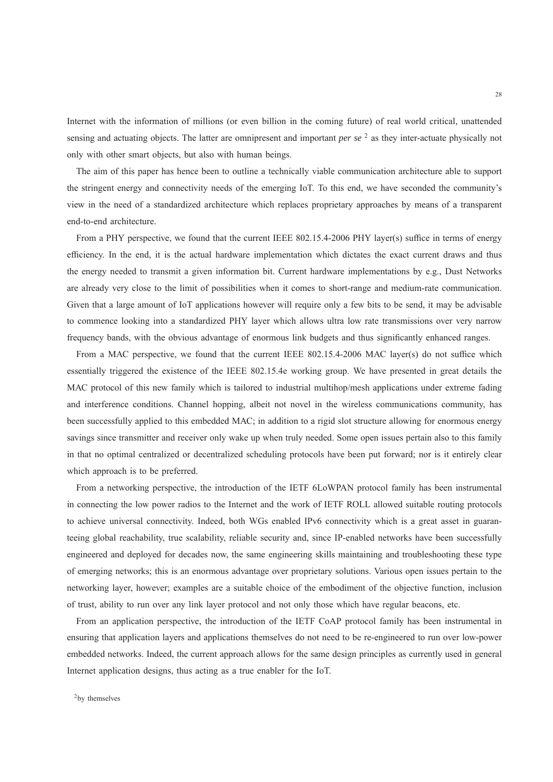Internet with the information of millions (or even billion in the coming future) of real world critical, unattended sensing and actuating objects. The latter are omnipresent and important *per se* <sup>2</sup> as they inter-actuate physically not only with other smart objects, but also with human beings.

The aim of this paper has hence been to outline a technically viable communication architecture able to support the stringent energy and connectivity needs of the emerging IoT. To this end, we have seconded the community's view in the need of a standardized architecture which replaces proprietary approaches by means of a transparent end-to-end architecture.

From a PHY perspective, we found that the current IEEE 802.15.4-2006 PHY layer(s) suffice in terms of energy efficiency. In the end, it is the actual hardware implementation which dictates the exact current draws and thus the energy needed to transmit a given information bit. Current hardware implementations by e.g., Dust Networks are already very close to the limit of possibilities when it comes to short-range and medium-rate communication. Given that a large amount of IoT applications however will require only a few bits to be send, it may be advisable to commence looking into a standardized PHY layer which allows ultra low rate transmissions over very narrow frequency bands, with the obvious advantage of enormous link budgets and thus significantly enhanced ranges.

From a MAC perspective, we found that the current IEEE 802.15.4-2006 MAC layer(s) do not suffice which essentially triggered the existence of the IEEE 802.15.4e working group. We have presented in great details the MAC protocol of this new family which is tailored to industrial multihop/mesh applications under extreme fading and interference conditions. Channel hopping, albeit not novel in the wireless communications community, has been successfully applied to this embedded MAC; in addition to a rigid slot structure allowing for enormous energy savings since transmitter and receiver only wake up when truly needed. Some open issues pertain also to this family in that no optimal centralized or decentralized scheduling protocols have been put forward; nor is it entirely clear which approach is to be preferred.

From a networking perspective, the introduction of the IETF 6LoWPAN protocol family has been instrumental in connecting the low power radios to the Internet and the work of IETF ROLL allowed suitable routing protocols to achieve universal connectivity. Indeed, both WGs enabled IPv6 connectivity which is a great asset in guaranteeing global reachability, true scalability, reliable security and, since IP-enabled networks have been successfully engineered and deployed for decades now, the same engineering skills maintaining and troubleshooting these type of emerging networks; this is an enormous advantage over proprietary solutions. Various open issues pertain to the networking layer, however; examples are a suitable choice of the embodiment of the objective function, inclusion of trust, ability to run over any link layer protocol and not only those which have regular beacons, etc.

From an application perspective, the introduction of the IETF CoAP protocol family has been instrumental in ensuring that application layers and applications themselves do not need to be re-engineered to run over low-power embedded networks. Indeed, the current approach allows for the same design principles as currently used in general Internet application designs, thus acting as a true enabler for the IoT.

2by themselves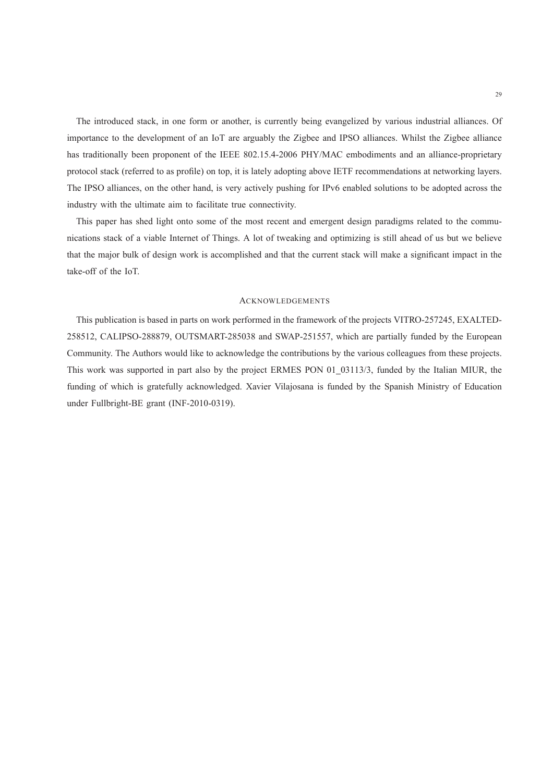The introduced stack, in one form or another, is currently being evangelized by various industrial alliances. Of importance to the development of an IoT are arguably the Zigbee and IPSO alliances. Whilst the Zigbee alliance has traditionally been proponent of the IEEE 802.15.4-2006 PHY/MAC embodiments and an alliance-proprietary protocol stack (referred to as profile) on top, it is lately adopting above IETF recommendations at networking layers. The IPSO alliances, on the other hand, is very actively pushing for IPv6 enabled solutions to be adopted across the industry with the ultimate aim to facilitate true connectivity.

This paper has shed light onto some of the most recent and emergent design paradigms related to the communications stack of a viable Internet of Things. A lot of tweaking and optimizing is still ahead of us but we believe that the major bulk of design work is accomplished and that the current stack will make a significant impact in the take-off of the IoT.

## **ACKNOWLEDGEMENTS**

This publication is based in parts on work performed in the framework of the projects VITRO-257245, EXALTED-258512, CALIPSO-288879, OUTSMART-285038 and SWAP-251557, which are partially funded by the European Community. The Authors would like to acknowledge the contributions by the various colleagues from these projects. This work was supported in part also by the project ERMES PON 01\_03113/3, funded by the Italian MIUR, the funding of which is gratefully acknowledged. Xavier Vilajosana is funded by the Spanish Ministry of Education under Fullbright-BE grant (INF-2010-0319).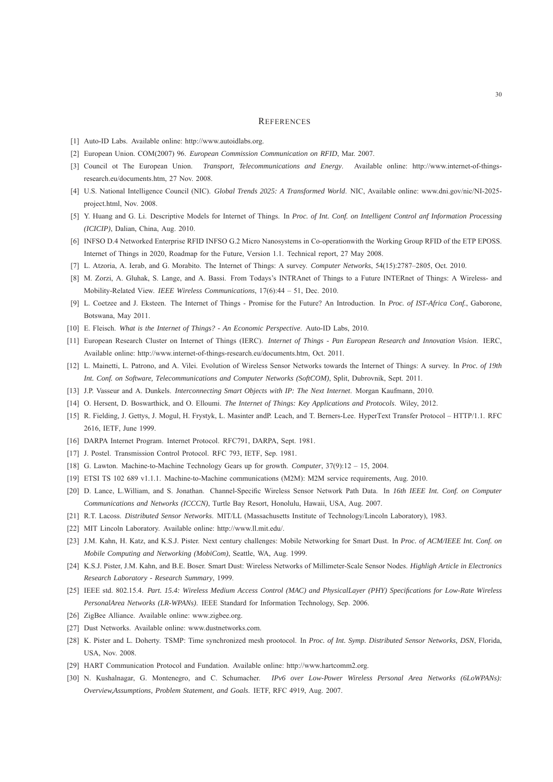#### **REFERENCES**

- [1] Auto-ID Labs. Available online: http://www.autoidlabs.org.
- [2] European Union. COM(2007) 96. *European Commission Communication on RFID*, Mar. 2007.
- [3] Council ot The European Union. *Transport, Telecommunications and Energy*. Available online: http://www.internet-of-thingsresearch.eu/documents.htm, 27 Nov. 2008.
- [4] U.S. National Intelligence Council (NIC). *Global Trends 2025: A Transformed World*. NIC, Available online: www.dni.gov/nic/NI-2025 project.html, Nov. 2008.
- [5] Y. Huang and G. Li. Descriptive Models for Internet of Things. In *Proc. of Int. Conf. on Intelligent Control anf Information Processing (ICICIP)*, Dalian, China, Aug. 2010.
- [6] INFSO D.4 Networked Enterprise RFID INFSO G.2 Micro Nanosystems in Co-operationwith the Working Group RFID of the ETP EPOSS. Internet of Things in 2020, Roadmap for the Future, Version 1.1. Technical report, 27 May 2008.
- [7] L. Atzoria, A. Ierab, and G. Morabito. The Internet of Things: A survey. *Computer Networks*, 54(15):2787–2805, Oct. 2010.
- [8] M. Zorzi, A. Gluhak, S. Lange, and A. Bassi. From Todays's INTRAnet of Things to a Future INTERnet of Things: A Wireless- and Mobility-Related View. *IEEE Wireless Communications*, 17(6):44 – 51, Dec. 2010.
- [9] L. Coetzee and J. Eksteen. The Internet of Things Promise for the Future? An Introduction. In *Proc. of IST-Africa Conf.*, Gaborone, Botswana, May 2011.
- [10] E. Fleisch. *What is the Internet of Things? An Economic Perspective*. Auto-ID Labs, 2010.
- [11] European Research Cluster on Internet of Things (IERC). *Internet of Things Pan European Research and Innovation Vision*. IERC, Available online: http://www.internet-of-things-research.eu/documents.htm, Oct. 2011.
- [12] L. Mainetti, L. Patrono, and A. Vilei. Evolution of Wireless Sensor Networks towards the Internet of Things: A survey. In *Proc. of 19th Int. Conf. on Software, Telecommunications and Computer Networks (SoftCOM)*, Split, Dubrovnik, Sept. 2011.
- [13] J.P. Vasseur and A. Dunkels. *Interconnecting Smart Objects with IP: The Next Internet*. Morgan Kaufmann, 2010.
- [14] O. Hersent, D. Boswarthick, and O. Elloumi. *The Internet of Things: Key Applications and Protocols*. Wiley, 2012.
- [15] R. Fielding, J. Gettys, J. Mogul, H. Frystyk, L. Masinter andP. Leach, and T. Berners-Lee. HyperText Transfer Protocol HTTP/1.1. RFC 2616, IETF, June 1999.
- [16] DARPA Internet Program. Internet Protocol. RFC791, DARPA, Sept. 1981.
- [17] J. Postel. Transmission Control Protocol. RFC 793, IETF, Sep. 1981.
- [18] G. Lawton. Machine-to-Machine Technology Gears up for growth. *Computer*, 37(9):12 15, 2004.
- [19] ETSI TS 102 689 v1.1.1. Machine-to-Machine communications (M2M): M2M service requirements, Aug. 2010.
- [20] D. Lance, L.William, and S. Jonathan. Channel-Specific Wireless Sensor Network Path Data. In *16th IEEE Int. Conf. on Computer Communications and Networks (ICCCN)*, Turtle Bay Resort, Honolulu, Hawaii, USA, Aug. 2007.
- [21] R.T. Lacoss. *Distributed Sensor Networks*. MIT/LL (Massachusetts Institute of Technology/Lincoln Laboratory), 1983.
- [22] MIT Lincoln Laboratory. Available online: http://www.ll.mit.edu/.
- [23] J.M. Kahn, H. Katz, and K.S.J. Pister. Next century challenges: Mobile Networking for Smart Dust. In *Proc. of ACM/IEEE Int. Conf. on Mobile Computing and Networking (MobiCom)*, Seattle, WA, Aug. 1999.
- [24] K.S.J. Pister, J.M. Kahn, and B.E. Boser. Smart Dust: Wireless Networks of Millimeter-Scale Sensor Nodes. *Highligh Article in Electronics Research Laboratory - Research Summary*, 1999.
- [25] IEEE std. 802.15.4. *Part. 15.4: Wireless Medium Access Control (MAC) and PhysicalLayer (PHY) Specifications for Low-Rate Wireless PersonalArea Networks (LR-WPANs)*. IEEE Standard for Information Technology, Sep. 2006.
- [26] ZigBee Alliance. Available online: www.zigbee.org.
- [27] Dust Networks. Available online: www.dustnetworks.com.
- [28] K. Pister and L. Doherty. TSMP: Time synchronized mesh prootocol. In *Proc. of Int. Symp. Distributed Sensor Networks, DSN*, Florida, USA, Nov. 2008.
- [29] HART Communication Protocol and Fundation. Available online: http://www.hartcomm2.org.
- [30] N. Kushalnagar, G. Montenegro, and C. Schumacher. *IPv6 over Low-Power Wireless Personal Area Networks (6LoWPANs): Overview,Assumptions, Problem Statement, and Goals*. IETF, RFC 4919, Aug. 2007.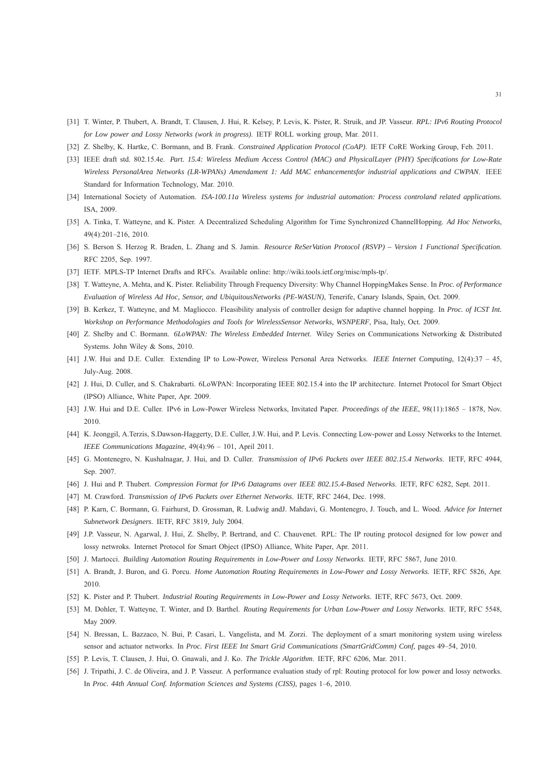- [31] T. Winter, P. Thubert, A. Brandt, T. Clausen, J. Hui, R. Kelsey, P. Levis, K. Pister, R. Struik, and JP. Vasseur. *RPL: IPv6 Routing Protocol for Low power and Lossy Networks (work in progress)*. IETF ROLL working group, Mar. 2011.
- [32] Z. Shelby, K. Hartke, C. Bormann, and B. Frank. *Constrained Application Protocol (CoAP)*. IETF CoRE Working Group, Feb. 2011.
- [33] IEEE draft std. 802.15.4e. *Part. 15.4: Wireless Medium Access Control (MAC) and PhysicalLayer (PHY) Specifications for Low-Rate Wireless PersonalArea Networks (LR-WPANs) Amendament 1: Add MAC enhancementsfor industrial applications and CWPAN*. IEEE Standard for Information Technology, Mar. 2010.
- [34] International Society of Automation. *ISA-100.11a Wireless systems for industrial automation: Process controland related applications*. ISA, 2009.
- [35] A. Tinka, T. Watteyne, and K. Pister. A Decentralized Scheduling Algorithm for Time Synchronized ChannelHopping. *Ad Hoc Networks*, 49(4):201–216, 2010.
- [36] S. Berson S. Herzog R. Braden, L. Zhang and S. Jamin. *Resource ReSerVation Protocol (RSVP) Version 1 Functional Specification*. RFC 2205, Sep. 1997.
- [37] IETF. MPLS-TP Internet Drafts and RFCs. Available online: http://wiki.tools.ietf.org/misc/mpls-tp/.
- [38] T. Watteyne, A. Mehta, and K. Pister. Reliability Through Frequency Diversity: Why Channel HoppingMakes Sense. In *Proc. of Performance Evaluation of Wireless Ad Hoc, Sensor, and UbiquitousNetworks (PE-WASUN)*, Tenerife, Canary Islands, Spain, Oct. 2009.
- [39] B. Kerkez, T. Watteyne, and M. Magliocco. Fleasibility analysis of controller design for adaptive channel hopping. In *Proc. of ICST Int. Workshop on Performance Methodologies and Tools for WirelessSensor Networks, WSNPERF*, Pisa, Italy, Oct. 2009.
- [40] Z. Shelby and C. Bormann. *6LoWPAN: The Wireless Embedded Internet*. Wiley Series on Communications Networking & Distributed Systems. John Wiley & Sons, 2010.
- [41] J.W. Hui and D.E. Culler. Extending IP to Low-Power, Wireless Personal Area Networks. *IEEE Internet Computing*, 12(4):37 45, July-Aug. 2008.
- [42] J. Hui, D. Culler, and S. Chakrabarti. 6LoWPAN: Incorporating IEEE 802.15.4 into the IP architecture. Internet Protocol for Smart Object (IPSO) Alliance, White Paper, Apr. 2009.
- [43] J.W. Hui and D.E. Culler. IPv6 in Low-Power Wireless Networks, Invitated Paper. *Proceedings of the IEEE*, 98(11):1865 1878, Nov. 2010.
- [44] K. Jeonggil, A.Terzis, S.Dawson-Haggerty, D.E. Culler, J.W. Hui, and P. Levis. Connecting Low-power and Lossy Networks to the Internet. *IEEE Communications Magazine*, 49(4):96 – 101, April 2011.
- [45] G. Montenegro, N. Kushalnagar, J. Hui, and D. Culler. *Transmission of IPv6 Packets over IEEE 802.15.4 Networks*. IETF, RFC 4944, Sep. 2007.
- [46] J. Hui and P. Thubert. *Compression Format for IPv6 Datagrams over IEEE 802.15.4-Based Networks*. IETF, RFC 6282, Sept. 2011.
- [47] M. Crawford. *Transmission of IPv6 Packets over Ethernet Networks*. IETF, RFC 2464, Dec. 1998.
- [48] P. Karn, C. Bormann, G. Fairhurst, D. Grossman, R. Ludwig andJ. Mahdavi, G. Montenegro, J. Touch, and L. Wood. *Advice for Internet Subnetwork Designers*. IETF, RFC 3819, July 2004.
- [49] J.P. Vasseur, N. Agarwal, J. Hui, Z. Shelby, P. Bertrand, and C. Chauvenet. RPL: The IP routing protocol designed for low power and lossy netwroks. Internet Protocol for Smart Object (IPSO) Alliance, White Paper, Apr. 2011.
- [50] J. Martocci. *Building Automation Routing Requirements in Low-Power and Lossy Networks*. IETF, RFC 5867, June 2010.
- [51] A. Brandt, J. Buron, and G. Porcu. *Home Automation Routing Requirements in Low-Power and Lossy Networks*. IETF, RFC 5826, Apr. 2010.
- [52] K. Pister and P. Thubert. *Industrial Routing Requirements in Low-Power and Lossy Networks*. IETF, RFC 5673, Oct. 2009.
- [53] M. Dohler, T. Watteyne, T. Winter, and D. Barthel. *Routing Requirements for Urban Low-Power and Lossy Networks*. IETF, RFC 5548, May 2009.
- [54] N. Bressan, L. Bazzaco, N. Bui, P. Casari, L. Vangelista, and M. Zorzi. The deployment of a smart monitoring system using wireless sensor and actuator networks. In *Proc. First IEEE Int Smart Grid Communications (SmartGridComm) Conf*, pages 49–54, 2010.
- [55] P. Levis, T. Clausen, J. Hui, O. Gnawali, and J. Ko. *The Trickle Algorithm*. IETF, RFC 6206, Mar. 2011.
- [56] J. Tripathi, J. C. de Oliveira, and J. P. Vasseur. A performance evaluation study of rpl: Routing protocol for low power and lossy networks. In *Proc. 44th Annual Conf. Information Sciences and Systems (CISS)*, pages 1–6, 2010.